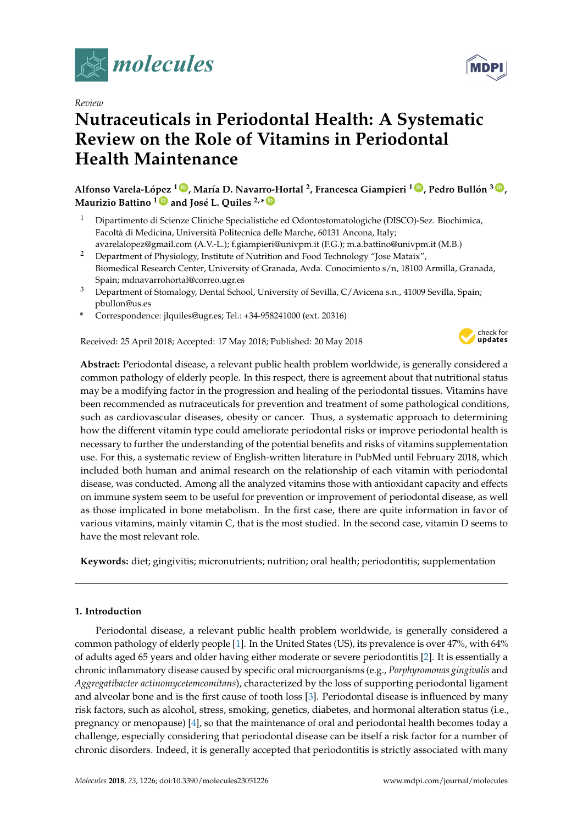

*Review*

# **Nutraceuticals in Periodontal Health: A Systematic Review on the Role of Vitamins in Periodontal Health Maintenance**

Alfonso Varela-López <sup>1 (b</sup>), María D. Navarro-Hortal <sup>2</sup>, Francesca Giampieri <sup>1 (b</sup>), Pedro Bullón <sup>3 (b</sup>), **Maurizio Battino <sup>1</sup> [ID](https://orcid.org/0000-0002-7250-1782) and José L. Quiles 2,\* [ID](https://orcid.org/0000-0002-9048-9086)**

- <sup>1</sup> Dipartimento di Scienze Cliniche Specialistiche ed Odontostomatologiche (DISCO)-Sez. Biochimica, Facoltà di Medicina, Università Politecnica delle Marche, 60131 Ancona, Italy; avarelalopez@gmail.com (A.V.-L.); f.giampieri@univpm.it (F.G.); m.a.battino@univpm.it (M.B.)
- <sup>2</sup> Department of Physiology, Institute of Nutrition and Food Technology "Jose Mataix", Biomedical Research Center, University of Granada, Avda. Conocimiento s/n, 18100 Armilla, Granada, Spain; mdnavarrohortal@correo.ugr.es
- <sup>3</sup> Department of Stomalogy, Dental School, University of Sevilla, C/Avicena s.n., 41009 Sevilla, Spain; pbullon@us.es
- **\*** Correspondence: jlquiles@ugr.es; Tel.: +34-958241000 (ext. 20316)

Received: 25 April 2018; Accepted: 17 May 2018; Published: 20 May 2018



**Abstract:** Periodontal disease, a relevant public health problem worldwide, is generally considered a common pathology of elderly people. In this respect, there is agreement about that nutritional status may be a modifying factor in the progression and healing of the periodontal tissues. Vitamins have been recommended as nutraceuticals for prevention and treatment of some pathological conditions, such as cardiovascular diseases, obesity or cancer. Thus, a systematic approach to determining how the different vitamin type could ameliorate periodontal risks or improve periodontal health is necessary to further the understanding of the potential benefits and risks of vitamins supplementation use. For this, a systematic review of English-written literature in PubMed until February 2018, which included both human and animal research on the relationship of each vitamin with periodontal disease, was conducted. Among all the analyzed vitamins those with antioxidant capacity and effects on immune system seem to be useful for prevention or improvement of periodontal disease, as well as those implicated in bone metabolism. In the first case, there are quite information in favor of various vitamins, mainly vitamin C, that is the most studied. In the second case, vitamin D seems to have the most relevant role.

**Keywords:** diet; gingivitis; micronutrients; nutrition; oral health; periodontitis; supplementation

## **1. Introduction**

Periodontal disease, a relevant public health problem worldwide, is generally considered a common pathology of elderly people [\[1\]](#page-25-0). In the United States (US), its prevalence is over 47%, with 64% of adults aged 65 years and older having either moderate or severe periodontitis [\[2\]](#page-25-1). It is essentially a chronic inflammatory disease caused by specific oral microorganisms (e.g., *Porphyromonas gingivalis* and *Aggregatibacter actinomycetemcomitans*), characterized by the loss of supporting periodontal ligament and alveolar bone and is the first cause of tooth loss [\[3\]](#page-25-2). Periodontal disease is influenced by many risk factors, such as alcohol, stress, smoking, genetics, diabetes, and hormonal alteration status (i.e., pregnancy or menopause) [\[4\]](#page-25-3), so that the maintenance of oral and periodontal health becomes today a challenge, especially considering that periodontal disease can be itself a risk factor for a number of chronic disorders. Indeed, it is generally accepted that periodontitis is strictly associated with many

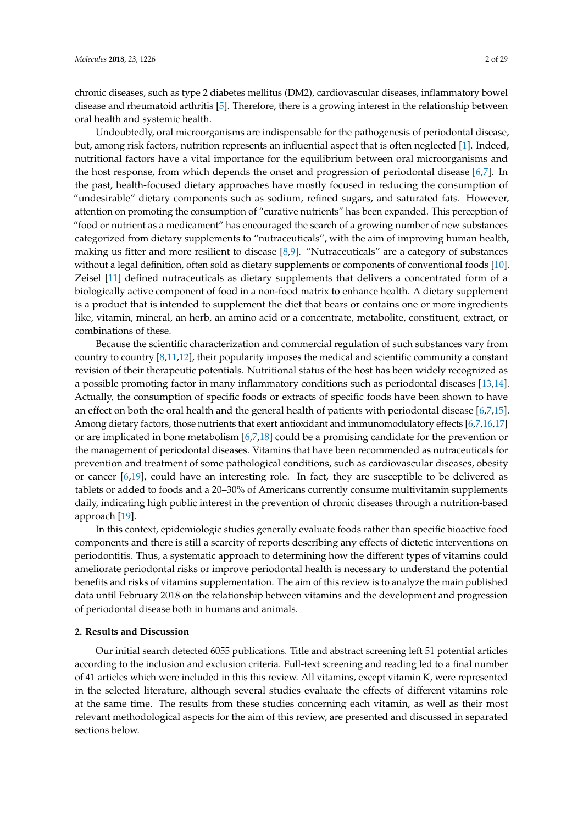chronic diseases, such as type 2 diabetes mellitus (DM2), cardiovascular diseases, inflammatory bowel disease and rheumatoid arthritis [\[5\]](#page-25-4). Therefore, there is a growing interest in the relationship between oral health and systemic health.

Undoubtedly, oral microorganisms are indispensable for the pathogenesis of periodontal disease, but, among risk factors, nutrition represents an influential aspect that is often neglected [\[1\]](#page-25-0). Indeed, nutritional factors have a vital importance for the equilibrium between oral microorganisms and the host response, from which depends the onset and progression of periodontal disease [\[6,](#page-25-5)[7\]](#page-25-6). In the past, health-focused dietary approaches have mostly focused in reducing the consumption of "undesirable" dietary components such as sodium, refined sugars, and saturated fats. However, attention on promoting the consumption of "curative nutrients" has been expanded. This perception of "food or nutrient as a medicament" has encouraged the search of a growing number of new substances categorized from dietary supplements to "nutraceuticals", with the aim of improving human health, making us fitter and more resilient to disease [\[8,](#page-25-7)[9\]](#page-25-8). "Nutraceuticals" are a category of substances without a legal definition, often sold as dietary supplements or components of conventional foods [\[10\]](#page-25-9). Zeisel [\[11\]](#page-25-10) defined nutraceuticals as dietary supplements that delivers a concentrated form of a biologically active component of food in a non-food matrix to enhance health. A dietary supplement is a product that is intended to supplement the diet that bears or contains one or more ingredients like, vitamin, mineral, an herb, an amino acid or a concentrate, metabolite, constituent, extract, or combinations of these.

Because the scientific characterization and commercial regulation of such substances vary from country to country [\[8,](#page-25-7)[11,](#page-25-10)[12\]](#page-25-11), their popularity imposes the medical and scientific community a constant revision of their therapeutic potentials. Nutritional status of the host has been widely recognized as a possible promoting factor in many inflammatory conditions such as periodontal diseases [\[13,](#page-25-12)[14\]](#page-25-13). Actually, the consumption of specific foods or extracts of specific foods have been shown to have an effect on both the oral health and the general health of patients with periodontal disease [\[6,](#page-25-5)[7,](#page-25-6)[15\]](#page-25-14). Among dietary factors, those nutrients that exert antioxidant and immunomodulatory effects [\[6,](#page-25-5)[7,](#page-25-6)[16,](#page-25-15)[17\]](#page-25-16) or are implicated in bone metabolism [\[6,](#page-25-5)[7,](#page-25-6)[18\]](#page-25-17) could be a promising candidate for the prevention or the management of periodontal diseases. Vitamins that have been recommended as nutraceuticals for prevention and treatment of some pathological conditions, such as cardiovascular diseases, obesity or cancer [\[6](#page-25-5)[,19\]](#page-25-18), could have an interesting role. In fact, they are susceptible to be delivered as tablets or added to foods and a 20–30% of Americans currently consume multivitamin supplements daily, indicating high public interest in the prevention of chronic diseases through a nutrition-based approach [\[19\]](#page-25-18).

In this context, epidemiologic studies generally evaluate foods rather than specific bioactive food components and there is still a scarcity of reports describing any effects of dietetic interventions on periodontitis. Thus, a systematic approach to determining how the different types of vitamins could ameliorate periodontal risks or improve periodontal health is necessary to understand the potential benefits and risks of vitamins supplementation. The aim of this review is to analyze the main published data until February 2018 on the relationship between vitamins and the development and progression of periodontal disease both in humans and animals.

### **2. Results and Discussion**

Our initial search detected 6055 publications. Title and abstract screening left 51 potential articles according to the inclusion and exclusion criteria. Full-text screening and reading led to a final number of 41 articles which were included in this this review. All vitamins, except vitamin K, were represented in the selected literature, although several studies evaluate the effects of different vitamins role at the same time. The results from these studies concerning each vitamin, as well as their most relevant methodological aspects for the aim of this review, are presented and discussed in separated sections below.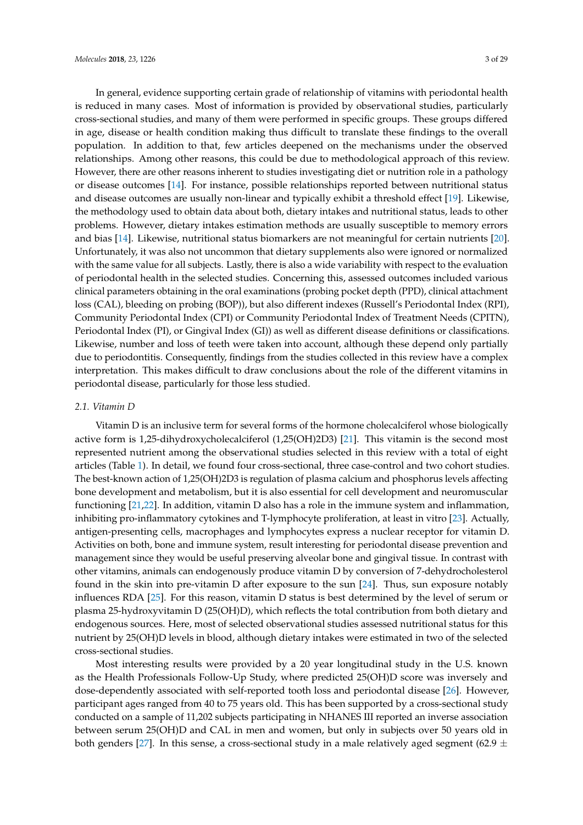In general, evidence supporting certain grade of relationship of vitamins with periodontal health is reduced in many cases. Most of information is provided by observational studies, particularly cross-sectional studies, and many of them were performed in specific groups. These groups differed in age, disease or health condition making thus difficult to translate these findings to the overall population. In addition to that, few articles deepened on the mechanisms under the observed relationships. Among other reasons, this could be due to methodological approach of this review. However, there are other reasons inherent to studies investigating diet or nutrition role in a pathology or disease outcomes [\[14\]](#page-25-13). For instance, possible relationships reported between nutritional status and disease outcomes are usually non-linear and typically exhibit a threshold effect [\[19\]](#page-25-18). Likewise, the methodology used to obtain data about both, dietary intakes and nutritional status, leads to other problems. However, dietary intakes estimation methods are usually susceptible to memory errors and bias [\[14\]](#page-25-13). Likewise, nutritional status biomarkers are not meaningful for certain nutrients [\[20\]](#page-25-19). Unfortunately, it was also not uncommon that dietary supplements also were ignored or normalized with the same value for all subjects. Lastly, there is also a wide variability with respect to the evaluation of periodontal health in the selected studies. Concerning this, assessed outcomes included various clinical parameters obtaining in the oral examinations (probing pocket depth (PPD), clinical attachment loss (CAL), bleeding on probing (BOP)), but also different indexes (Russell's Periodontal Index (RPI), Community Periodontal Index (CPI) or Community Periodontal Index of Treatment Needs (CPITN), Periodontal Index (PI), or Gingival Index (GI)) as well as different disease definitions or classifications. Likewise, number and loss of teeth were taken into account, although these depend only partially due to periodontitis. Consequently, findings from the studies collected in this review have a complex interpretation. This makes difficult to draw conclusions about the role of the different vitamins in periodontal disease, particularly for those less studied.

### *2.1. Vitamin D*

Vitamin D is an inclusive term for several forms of the hormone cholecalciferol whose biologically active form is 1,25-dihydroxycholecalciferol (1,25(OH)2D3) [\[21\]](#page-25-20). This vitamin is the second most represented nutrient among the observational studies selected in this review with a total of eight articles (Table [1\)](#page-6-0). In detail, we found four cross-sectional, three case-control and two cohort studies. The best-known action of 1,25(OH)2D3 is regulation of plasma calcium and phosphorus levels affecting bone development and metabolism, but it is also essential for cell development and neuromuscular functioning [\[21,](#page-25-20)[22\]](#page-26-0). In addition, vitamin D also has a role in the immune system and inflammation, inhibiting pro-inflammatory cytokines and T-lymphocyte proliferation, at least in vitro [\[23\]](#page-26-1). Actually, antigen-presenting cells, macrophages and lymphocytes express a nuclear receptor for vitamin D. Activities on both, bone and immune system, result interesting for periodontal disease prevention and management since they would be useful preserving alveolar bone and gingival tissue. In contrast with other vitamins, animals can endogenously produce vitamin D by conversion of 7-dehydrocholesterol found in the skin into pre-vitamin D after exposure to the sun [\[24\]](#page-26-2). Thus, sun exposure notably influences RDA [\[25\]](#page-26-3). For this reason, vitamin D status is best determined by the level of serum or plasma 25-hydroxyvitamin D (25(OH)D), which reflects the total contribution from both dietary and endogenous sources. Here, most of selected observational studies assessed nutritional status for this nutrient by 25(OH)D levels in blood, although dietary intakes were estimated in two of the selected cross-sectional studies.

Most interesting results were provided by a 20 year longitudinal study in the U.S. known as the Health Professionals Follow-Up Study, where predicted 25(OH)D score was inversely and dose-dependently associated with self-reported tooth loss and periodontal disease [\[26\]](#page-26-4). However, participant ages ranged from 40 to 75 years old. This has been supported by a cross-sectional study conducted on a sample of 11,202 subjects participating in NHANES III reported an inverse association between serum 25(OH)D and CAL in men and women, but only in subjects over 50 years old in both genders [\[27\]](#page-26-5). In this sense, a cross-sectional study in a male relatively aged segment (62.9  $\pm$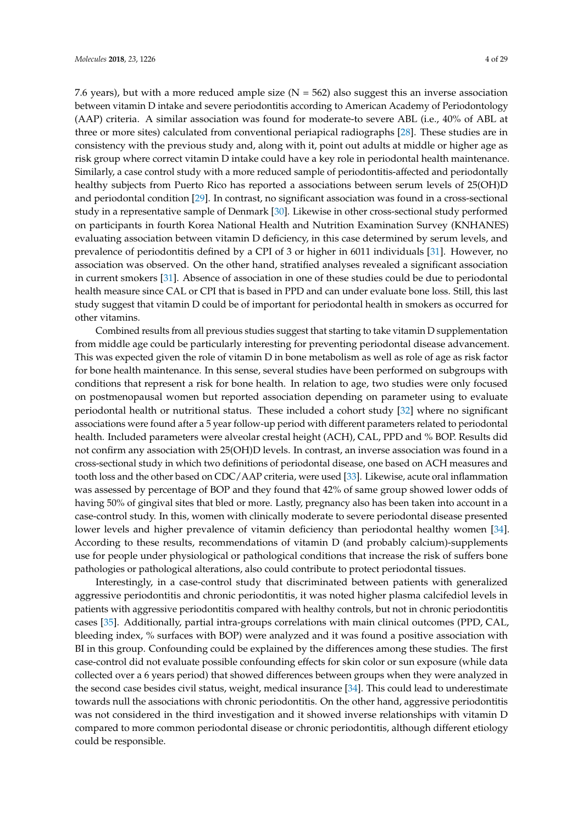7.6 years), but with a more reduced ample size  $(N = 562)$  also suggest this an inverse association between vitamin D intake and severe periodontitis according to American Academy of Periodontology (AAP) criteria. A similar association was found for moderate-to severe ABL (i.e., 40% of ABL at three or more sites) calculated from conventional periapical radiographs [\[28\]](#page-26-6). These studies are in consistency with the previous study and, along with it, point out adults at middle or higher age as risk group where correct vitamin D intake could have a key role in periodontal health maintenance. Similarly, a case control study with a more reduced sample of periodontitis-affected and periodontally healthy subjects from Puerto Rico has reported a associations between serum levels of 25(OH)D and periodontal condition [\[29\]](#page-26-7). In contrast, no significant association was found in a cross-sectional study in a representative sample of Denmark [\[30\]](#page-26-8). Likewise in other cross-sectional study performed on participants in fourth Korea National Health and Nutrition Examination Survey (KNHANES) evaluating association between vitamin D deficiency, in this case determined by serum levels, and prevalence of periodontitis defined by a CPI of 3 or higher in 6011 individuals [\[31\]](#page-26-9). However, no association was observed. On the other hand, stratified analyses revealed a significant association in current smokers [\[31\]](#page-26-9). Absence of association in one of these studies could be due to periodontal health measure since CAL or CPI that is based in PPD and can under evaluate bone loss. Still, this last study suggest that vitamin D could be of important for periodontal health in smokers as occurred for other vitamins.

Combined results from all previous studies suggest that starting to take vitamin D supplementation from middle age could be particularly interesting for preventing periodontal disease advancement. This was expected given the role of vitamin D in bone metabolism as well as role of age as risk factor for bone health maintenance. In this sense, several studies have been performed on subgroups with conditions that represent a risk for bone health. In relation to age, two studies were only focused on postmenopausal women but reported association depending on parameter using to evaluate periodontal health or nutritional status. These included a cohort study [\[32\]](#page-26-10) where no significant associations were found after a 5 year follow-up period with different parameters related to periodontal health. Included parameters were alveolar crestal height (ACH), CAL, PPD and % BOP. Results did not confirm any association with 25(OH)D levels. In contrast, an inverse association was found in a cross-sectional study in which two definitions of periodontal disease, one based on ACH measures and tooth loss and the other based on CDC/AAP criteria, were used [\[33\]](#page-26-11). Likewise, acute oral inflammation was assessed by percentage of BOP and they found that 42% of same group showed lower odds of having 50% of gingival sites that bled or more. Lastly, pregnancy also has been taken into account in a case-control study. In this, women with clinically moderate to severe periodontal disease presented lower levels and higher prevalence of vitamin deficiency than periodontal healthy women [\[34\]](#page-26-12). According to these results, recommendations of vitamin D (and probably calcium)-supplements use for people under physiological or pathological conditions that increase the risk of suffers bone pathologies or pathological alterations, also could contribute to protect periodontal tissues.

Interestingly, in a case-control study that discriminated between patients with generalized aggressive periodontitis and chronic periodontitis, it was noted higher plasma calcifediol levels in patients with aggressive periodontitis compared with healthy controls, but not in chronic periodontitis cases [\[35\]](#page-26-13). Additionally, partial intra-groups correlations with main clinical outcomes (PPD, CAL, bleeding index, % surfaces with BOP) were analyzed and it was found a positive association with BI in this group. Confounding could be explained by the differences among these studies. The first case-control did not evaluate possible confounding effects for skin color or sun exposure (while data collected over a 6 years period) that showed differences between groups when they were analyzed in the second case besides civil status, weight, medical insurance [\[34\]](#page-26-12). This could lead to underestimate towards null the associations with chronic periodontitis. On the other hand, aggressive periodontitis was not considered in the third investigation and it showed inverse relationships with vitamin D compared to more common periodontal disease or chronic periodontitis, although different etiology could be responsible.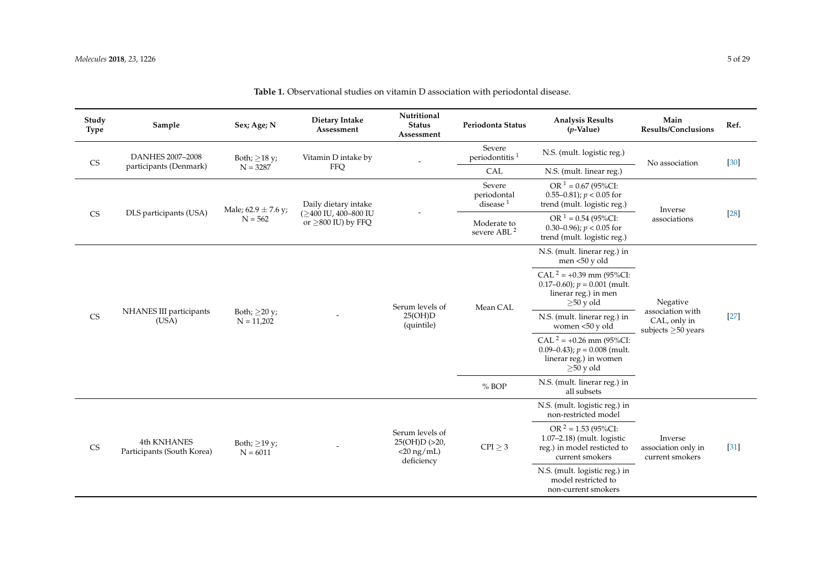| Study<br><b>Type</b>   | Sample                                    | Sex; Age; N                     | Dietary Intake<br>Assessment                                             | Nutritional<br><b>Status</b><br>Assessment                      | Periodonta Status                      | <b>Analysis Results</b><br>$(p$ -Value)                                                                    | Main<br><b>Results/Conclusions</b>                                       | Ref.   |
|------------------------|-------------------------------------------|---------------------------------|--------------------------------------------------------------------------|-----------------------------------------------------------------|----------------------------------------|------------------------------------------------------------------------------------------------------------|--------------------------------------------------------------------------|--------|
| <b>CS</b>              | DANHES 2007-2008                          | Both; $\geq$ 18 y;              | Vitamin D intake by                                                      |                                                                 | Severe<br>periodontitis <sup>1</sup>   | N.S. (mult. logistic reg.)                                                                                 | No association                                                           | [30]   |
|                        | participants (Denmark)                    | $N = 3287$                      | FFQ                                                                      |                                                                 | CAL                                    | N.S. (mult. linear reg.)                                                                                   |                                                                          |        |
|                        | DLS participants (USA)                    | Male; $62.9 \pm 7.6$ y;         | Daily dietary intake<br>(>400 IU, 400-800 IU<br>or $\geq$ 800 IU) by FFQ |                                                                 | Severe<br>periodontal<br>disease $1$   | OR $1 = 0.67$ (95%CI:<br>0.55–0.81); $p < 0.05$ for<br>trend (mult. logistic reg.)                         | Inverse                                                                  |        |
| $\mathbb{C}\mathbf{S}$ |                                           | $N = 562$                       |                                                                          |                                                                 | Moderate to<br>severe ABL <sup>2</sup> | OR $1 = 0.54$ (95%CI:<br>0.30–0.96); $p < 0.05$ for<br>trend (mult. logistic reg.)                         | associations                                                             | $[28]$ |
|                        |                                           |                                 |                                                                          |                                                                 |                                        | N.S. (mult. linerar reg.) in<br>men <50 y old                                                              |                                                                          |        |
|                        | NHANES III participants<br>(USA)          | Both; $>20 y$ ;<br>$N = 11,202$ |                                                                          | Serum levels of<br>25(OH)D<br>(quintile)                        | Mean CAL                               | CAL $2 = +0.39$ mm (95%CI:<br>$0.17-0.60$ ; $p = 0.001$ (mult.<br>linerar reg.) in men<br>$\geq 50$ y old  | Negative<br>association with<br>CAL, only in<br>subjects $\geq$ 50 years |        |
| <b>CS</b>              |                                           |                                 |                                                                          |                                                                 |                                        | N.S. (mult. linerar reg.) in<br>women <50 y old                                                            |                                                                          | $[27]$ |
|                        |                                           |                                 |                                                                          |                                                                 |                                        | $CAL^2 = +0.26$ mm (95%CI:<br>0.09–0.43); $p = 0.008$ (mult.<br>linerar reg.) in women<br>$>50$ y old      |                                                                          |        |
|                        |                                           |                                 |                                                                          |                                                                 | % BOP                                  | N.S. (mult. linerar reg.) in<br>all subsets                                                                |                                                                          |        |
|                        |                                           |                                 |                                                                          |                                                                 |                                        | N.S. (mult. logistic reg.) in<br>non-restricted model                                                      |                                                                          |        |
| CS                     | 4th KNHANES<br>Participants (South Korea) | Both; $>19 y$ ;<br>$N = 6011$   |                                                                          | Serum levels of<br>25(OH)D (>20,<br>$<$ 20 ng/mL)<br>deficiency | $CPI \geq 3$                           | $OR^2 = 1.53 (95\% CI:$<br>$1.07-2.18$ ) (mult. logistic<br>reg.) in model resticted to<br>current smokers | Inverse<br>association only in<br>current smokers                        | $[31]$ |
|                        |                                           |                                 |                                                                          |                                                                 |                                        | N.S. (mult. logistic reg.) in<br>model restricted to<br>non-current smokers                                |                                                                          |        |

**Table 1.** Observational studies on vitamin D association with periodontal disease.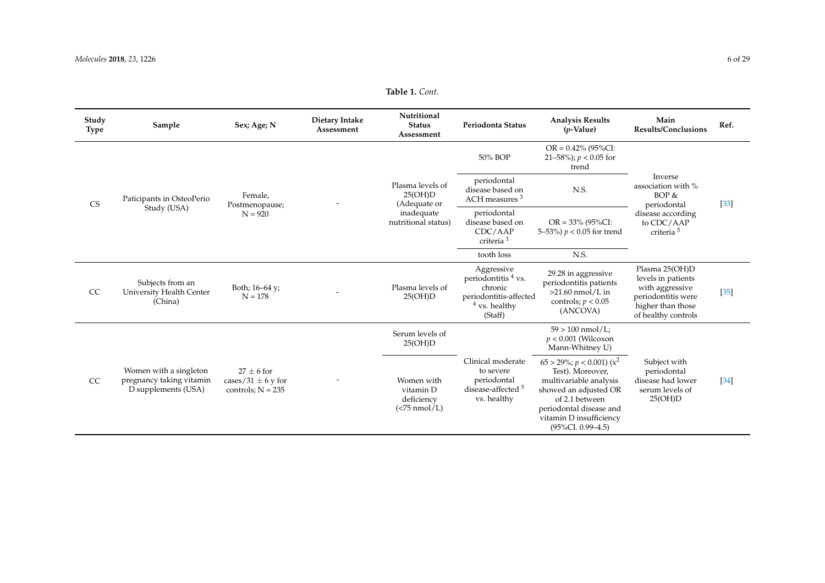### **Table 1.** *Cont*.

| Study<br><b>Type</b>   | Sample                                                                    | Sex; Age; N                                                     | Dietary Intake<br>Assessment | Nutritional<br><b>Status</b><br>Assessment                   | Periodonta Status                                                                                    | <b>Analysis Results</b><br>$(p$ -Value)                                                                                                                                                                    | Main<br><b>Results/Conclusions</b>                                                                                        | Ref.   |
|------------------------|---------------------------------------------------------------------------|-----------------------------------------------------------------|------------------------------|--------------------------------------------------------------|------------------------------------------------------------------------------------------------------|------------------------------------------------------------------------------------------------------------------------------------------------------------------------------------------------------------|---------------------------------------------------------------------------------------------------------------------------|--------|
|                        |                                                                           |                                                                 |                              |                                                              | 50% BOP                                                                                              | $OR = 0.42\%$ (95%CI:<br>21-58%); $p < 0.05$ for<br>trend                                                                                                                                                  |                                                                                                                           |        |
| $\mathbb{C}\mathbf{S}$ | Paticipants in OsteoPerio<br>Study (USA)                                  | Female.<br>Postmenopause;<br>$N = 920$                          |                              | Plasma levels of<br>25(OH)D<br>(Adequate or                  | periodontal<br>disease based on<br>ACH measures <sup>3</sup>                                         | N.S.                                                                                                                                                                                                       | Inverse<br>association with %<br>BOP &<br>periodontal                                                                     | $[33]$ |
|                        |                                                                           |                                                                 | inadequate                   | nutritional status)                                          | periodontal<br>disease based on<br>CDC/AMP<br>criteria <sup>1</sup>                                  | $OR = 33\% (95\% CI:$<br>5–53%) $p < 0.05$ for trend                                                                                                                                                       | disease according<br>to CDC/AAP<br>criteria <sup>5</sup>                                                                  |        |
|                        |                                                                           |                                                                 |                              |                                                              | tooth loss                                                                                           | N.S.                                                                                                                                                                                                       |                                                                                                                           |        |
| <b>CC</b>              | Subjects from an<br>University Health Center<br>(China)                   | Both; 16-64 y;<br>$N = 178$                                     |                              | Plasma levels of<br>25(OH)D                                  | Aggressive<br>periodontitis 4 vs.<br>chronic<br>periodontitis-affected<br>$4$ vs. healthy<br>(Staff) | 29.28 in aggressive<br>periodontitis patients<br>$>21.60$ nmol/L in<br>controls; $p < 0.05$<br>(ANCOVA)                                                                                                    | Plasma 25(OH)D<br>levels in patients<br>with aggressive<br>periodontitis were<br>higher than those<br>of healthy controls | $[35]$ |
|                        |                                                                           |                                                                 |                              | Serum levels of<br>25(OH)D                                   |                                                                                                      | $59 > 100$ nmol/L;<br>$p < 0.001$ (Wilcoxon<br>Mann-Whitney U)                                                                                                                                             |                                                                                                                           |        |
| <sub>CC</sub>          | Women with a singleton<br>pregnancy taking vitamin<br>D supplements (USA) | $27 \pm 6$ for<br>cases/31 $\pm$ 6 y for<br>controls; $N = 235$ |                              | Women with<br>vitamin D<br>deficiency<br>( <b>75</b> nmol/L) | Clinical moderate<br>to severe<br>periodontal<br>disease-affected <sup>5</sup><br>vs. healthy        | $65 > 29\%$ ; $p < 0.001$ ) ( $x^2$<br>Test). Moreover,<br>multivariable analysis<br>showed an adjusted OR<br>of 2.1 between<br>periodontal disease and<br>vitamin D insufficiency<br>$(95\%CI. 0.99-4.5)$ | Subject with<br>periodontal<br>disease had lower<br>serum levels of<br>25(OH)D                                            | [34]   |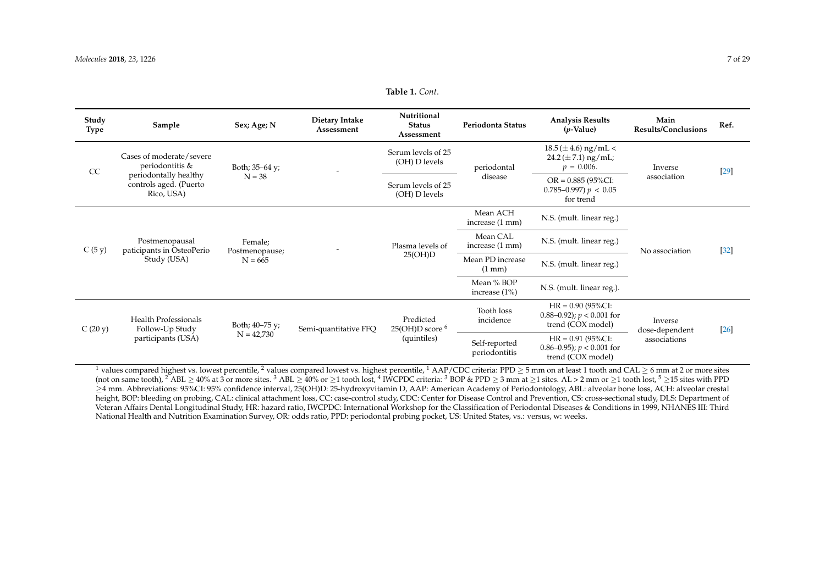#### **Table 1.** *Cont*.

| Study<br>Type | Sample                                                        | Sex; Age; N                            | Dietary Intake<br>Assessment | Nutritional<br><b>Status</b><br>Assessment | Periodonta Status                    | <b>Analysis Results</b><br>$(p\text{-Value})$                             | Main<br><b>Results/Conclusions</b> | Ref.   |
|---------------|---------------------------------------------------------------|----------------------------------------|------------------------------|--------------------------------------------|--------------------------------------|---------------------------------------------------------------------------|------------------------------------|--------|
| CC            | Cases of moderate/severe<br>periodontitis &                   | Both; $35-64$ y;                       |                              | Serum levels of 25<br>(OH) D levels        | periodontal                          | $18.5 (\pm 4.6)$ ng/mL <<br>$24.2 (\pm 7.1)$ ng/mL;<br>$p = 0.006$ .      | Inverse                            | [29]   |
|               | periodontally healthy<br>controls aged. (Puerto<br>Rico, USA) | $N = 38$                               |                              | Serum levels of 25<br>(OH) D levels        | disease                              | $OR = 0.885 (95\% CI:$<br>$0.785 - 0.997$ ) $p < 0.05$<br>for trend       | association                        |        |
|               |                                                               |                                        |                              | Plasma levels of<br>25(OH)D                | Mean ACH<br>increase (1 mm)          | N.S. (mult. linear reg.)                                                  |                                    |        |
| C(5y)         | Postmenopausal<br>paticipants in OsteoPerio<br>Study (USA)    | Female;<br>Postmenopause;<br>$N = 665$ |                              |                                            | Mean CAL<br>increase (1 mm)          | N.S. (mult. linear reg.)                                                  | No association                     | $[32]$ |
|               |                                                               |                                        |                              |                                            | Mean PD increase<br>$(1 \text{ mm})$ | N.S. (mult. linear reg.)                                                  |                                    |        |
|               |                                                               |                                        |                              |                                            | Mean % BOP<br>increase $(1\%)$       | N.S. (mult. linear reg.).                                                 |                                    |        |
|               | <b>Health Professionals</b><br>Follow-Up Study                | Both; 40–75 y;                         | Semi-quantitative FFQ        | Predicted<br>$25(OH)D$ score $6$           | Tooth loss<br>incidence              | $HR = 0.90 (95\% CI:$<br>0.88–0.92); $p < 0.001$ for<br>trend (COX model) | Inverse<br>dose-dependent          |        |
| C(20 y)       | participants (USA)                                            | $N = 42,730$                           |                              | (quintiles)                                | Self-reported<br>periodontitis       | $HR = 0.91 (95\% CI:$<br>0.86–0.95); $p < 0.001$ for<br>trend (COX model) | associations                       | $[26]$ |

<span id="page-6-0"></span><sup>1</sup> values compared highest vs. lowest percentile, <sup>2</sup> values compared lowest vs. highest percentile, <sup>1</sup> AAP/CDC criteria: PPD  $\geq$  5 mm on at least 1 tooth and CAL  $\geq$  6 mm at 2 or more sites (not on same tooth),  $^2$  ABL  $\geq$  40% at 3 or more sites.  $^3$  ABL  $\geq$  40% or  $\geq$ 1 tooth lost,  $^4$  IWCPDC criteria:  $^3$  BOP & PPD  $\geq$  3 mm at  $\geq$ 1 sites. AL  $>$  2 mm or  $\geq$ 1 tooth lost,  $^5$   $\geq$ 15 sites wi ≥4 mm. Abbreviations: 95%CI: 95% confidence interval, 25(OH)D: 25-hydroxyvitamin D, AAP: American Academy of Periodontology, ABL: alveolar bone loss, ACH: alveolar crestal height, BOP: bleeding on probing, CAL: clinical attachment loss, CC: case-control study, CDC: Center for Disease Control and Prevention, CS: cross-sectional study, DLS: Department of Veteran Affairs Dental Longitudinal Study, HR: hazard ratio, IWCPDC: International Workshop for the Classification of Periodontal Diseases & Conditions in 1999, NHANES III: Third National Health and Nutrition Examination Survey, OR: odds ratio, PPD: periodontal probing pocket, US: United States, vs.: versus, w: weeks.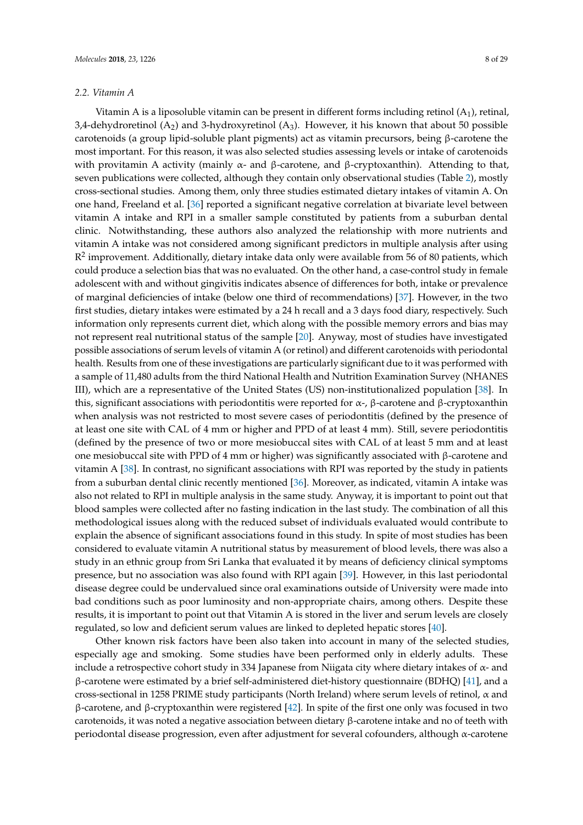### *2.2. Vitamin A*

Vitamin A is a liposoluble vitamin can be present in different forms including retinol  $(A_1)$ , retinal, 3,4-dehydroretinol  $(A_2)$  and 3-hydroxyretinol  $(A_3)$ . However, it his known that about 50 possible carotenoids (a group lipid-soluble plant pigments) act as vitamin precursors, being β-carotene the most important. For this reason, it was also selected studies assessing levels or intake of carotenoids with provitamin A activity (mainly  $\alpha$ - and β-carotene, and β-cryptoxanthin). Attending to that, seven publications were collected, although they contain only observational studies (Table [2\)](#page-10-0), mostly cross-sectional studies. Among them, only three studies estimated dietary intakes of vitamin A. On one hand, Freeland et al. [\[36\]](#page-26-24) reported a significant negative correlation at bivariate level between vitamin A intake and RPI in a smaller sample constituted by patients from a suburban dental clinic. Notwithstanding, these authors also analyzed the relationship with more nutrients and vitamin A intake was not considered among significant predictors in multiple analysis after using  $\mathbb{R}^2$  improvement. Additionally, dietary intake data only were available from 56 of 80 patients, which could produce a selection bias that was no evaluated. On the other hand, a case-control study in female adolescent with and without gingivitis indicates absence of differences for both, intake or prevalence of marginal deficiencies of intake (below one third of recommendations) [\[37\]](#page-26-25). However, in the two first studies, dietary intakes were estimated by a 24 h recall and a 3 days food diary, respectively. Such information only represents current diet, which along with the possible memory errors and bias may not represent real nutritional status of the sample [\[20\]](#page-25-19). Anyway, most of studies have investigated possible associations of serum levels of vitamin A (or retinol) and different carotenoids with periodontal health. Results from one of these investigations are particularly significant due to it was performed with a sample of 11,480 adults from the third National Health and Nutrition Examination Survey (NHANES III), which are a representative of the United States (US) non-institutionalized population [\[38\]](#page-26-26). In this, significant associations with periodontitis were reported for  $\alpha$ -, β-carotene and β-cryptoxanthin when analysis was not restricted to most severe cases of periodontitis (defined by the presence of at least one site with CAL of 4 mm or higher and PPD of at least 4 mm). Still, severe periodontitis (defined by the presence of two or more mesiobuccal sites with CAL of at least 5 mm and at least one mesiobuccal site with PPD of 4 mm or higher) was significantly associated with β-carotene and vitamin A [\[38\]](#page-26-26). In contrast, no significant associations with RPI was reported by the study in patients from a suburban dental clinic recently mentioned [\[36\]](#page-26-24). Moreover, as indicated, vitamin A intake was also not related to RPI in multiple analysis in the same study. Anyway, it is important to point out that blood samples were collected after no fasting indication in the last study. The combination of all this methodological issues along with the reduced subset of individuals evaluated would contribute to explain the absence of significant associations found in this study. In spite of most studies has been considered to evaluate vitamin A nutritional status by measurement of blood levels, there was also a study in an ethnic group from Sri Lanka that evaluated it by means of deficiency clinical symptoms presence, but no association was also found with RPI again [\[39\]](#page-26-27). However, in this last periodontal disease degree could be undervalued since oral examinations outside of University were made into bad conditions such as poor luminosity and non-appropriate chairs, among others. Despite these results, it is important to point out that Vitamin A is stored in the liver and serum levels are closely regulated, so low and deficient serum values are linked to depleted hepatic stores [\[40\]](#page-26-28).

Other known risk factors have been also taken into account in many of the selected studies, especially age and smoking. Some studies have been performed only in elderly adults. These include a retrospective cohort study in 334 Japanese from Niigata city where dietary intakes of  $\alpha$ - and β-carotene were estimated by a brief self-administered diet-history questionnaire (BDHQ) [\[41\]](#page-26-29), and a cross-sectional in 1258 PRIME study participants (North Ireland) where serum levels of retinol, α and β-carotene, and β-cryptoxanthin were registered [\[42\]](#page-26-30). In spite of the first one only was focused in two carotenoids, it was noted a negative association between dietary β-carotene intake and no of teeth with periodontal disease progression, even after adjustment for several cofounders, although  $\alpha$ -carotene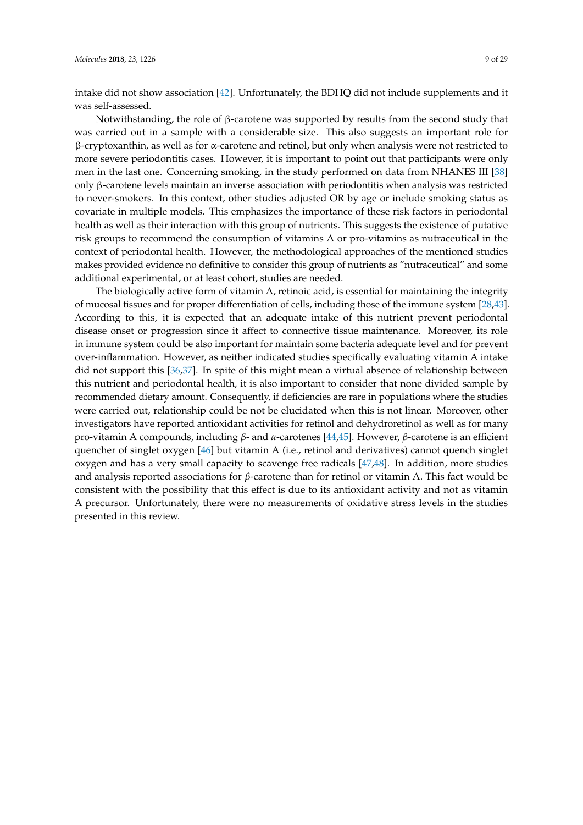intake did not show association [\[42\]](#page-26-30). Unfortunately, the BDHQ did not include supplements and it was self-assessed.

Notwithstanding, the role of β-carotene was supported by results from the second study that was carried out in a sample with a considerable size. This also suggests an important role for  $β$ -cryptoxanthin, as well as for  $α$ -carotene and retinol, but only when analysis were not restricted to more severe periodontitis cases. However, it is important to point out that participants were only men in the last one. Concerning smoking, in the study performed on data from NHANES III [\[38\]](#page-26-26) only β-carotene levels maintain an inverse association with periodontitis when analysis was restricted to never-smokers. In this context, other studies adjusted OR by age or include smoking status as covariate in multiple models. This emphasizes the importance of these risk factors in periodontal health as well as their interaction with this group of nutrients. This suggests the existence of putative risk groups to recommend the consumption of vitamins A or pro-vitamins as nutraceutical in the context of periodontal health. However, the methodological approaches of the mentioned studies makes provided evidence no definitive to consider this group of nutrients as "nutraceutical" and some additional experimental, or at least cohort, studies are needed.

The biologically active form of vitamin A, retinoic acid, is essential for maintaining the integrity of mucosal tissues and for proper differentiation of cells, including those of the immune system [\[28](#page-26-6)[,43\]](#page-26-31). According to this, it is expected that an adequate intake of this nutrient prevent periodontal disease onset or progression since it affect to connective tissue maintenance. Moreover, its role in immune system could be also important for maintain some bacteria adequate level and for prevent over-inflammation. However, as neither indicated studies specifically evaluating vitamin A intake did not support this [\[36,](#page-26-24)[37\]](#page-26-25). In spite of this might mean a virtual absence of relationship between this nutrient and periodontal health, it is also important to consider that none divided sample by recommended dietary amount. Consequently, if deficiencies are rare in populations where the studies were carried out, relationship could be not be elucidated when this is not linear. Moreover, other investigators have reported antioxidant activities for retinol and dehydroretinol as well as for many pro-vitamin A compounds, including *β*- and *α*-carotenes [\[44](#page-26-32)[,45\]](#page-26-33). However, *β*-carotene is an efficient quencher of singlet oxygen [\[46\]](#page-27-0) but vitamin A (i.e., retinol and derivatives) cannot quench singlet oxygen and has a very small capacity to scavenge free radicals [\[47,](#page-27-1)[48\]](#page-27-2). In addition, more studies and analysis reported associations for *β*-carotene than for retinol or vitamin A. This fact would be consistent with the possibility that this effect is due to its antioxidant activity and not as vitamin A precursor. Unfortunately, there were no measurements of oxidative stress levels in the studies presented in this review.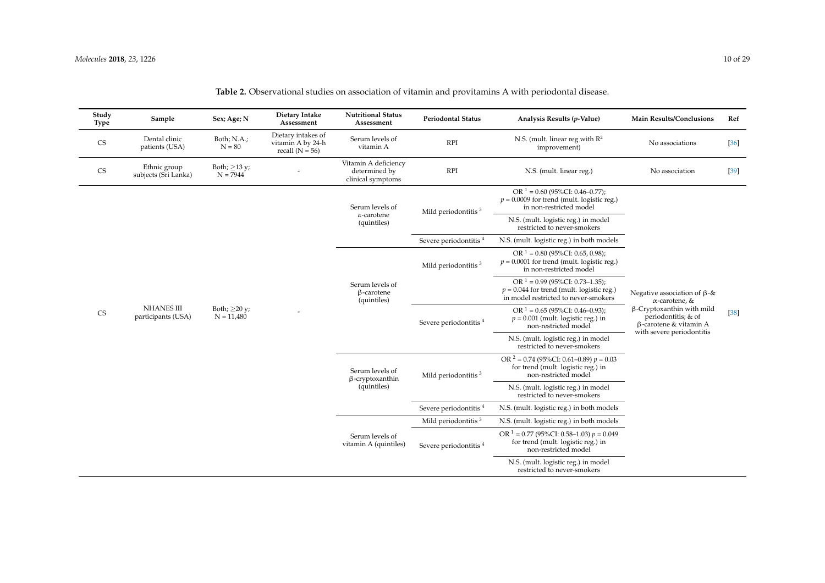| Study<br>Type | Sample                                  | Sex; Age; N                        | Dietary Intake<br>Assessment                                 | <b>Nutritional Status</b><br>Assessment                    | <b>Periodontal Status</b>         | Analysis Results (p-Value)                                                                                               | <b>Main Results/Conclusions</b>                                                                                | Ref    |
|---------------|-----------------------------------------|------------------------------------|--------------------------------------------------------------|------------------------------------------------------------|-----------------------------------|--------------------------------------------------------------------------------------------------------------------------|----------------------------------------------------------------------------------------------------------------|--------|
| <b>CS</b>     | Dental clinic<br>patients (USA)         | Both; N.A.;<br>$N = 80$            | Dietary intakes of<br>vitamin A by 24-h<br>recall $(N = 56)$ | Serum levels of<br>vitamin A                               | <b>RPI</b>                        | N.S. (mult. linear reg with $\mathbb{R}^2$<br>improvement)                                                               | No associations                                                                                                | $[36]$ |
| <b>CS</b>     | Ethnic group<br>subjects (Sri Lanka)    | Both; $\geq$ 13 y;<br>$N = 7944$   |                                                              | Vitamin A deficiency<br>determined by<br>clinical symptoms | <b>RPI</b>                        | N.S. (mult. linear reg.)                                                                                                 | No association                                                                                                 | $[39]$ |
|               |                                         |                                    |                                                              | Serum levels of                                            | Mild periodontitis <sup>3</sup>   | OR $1 = 0.60$ (95%CI: 0.46–0.77);<br>$p = 0.0009$ for trend (mult. logistic reg.)<br>in non-restricted model             |                                                                                                                |        |
|               |                                         |                                    |                                                              | $\alpha$ -carotene<br>(quintiles)                          |                                   | N.S. (mult. logistic reg.) in model<br>restricted to never-smokers                                                       |                                                                                                                |        |
|               |                                         |                                    |                                                              |                                                            | Severe periodontitis <sup>4</sup> | N.S. (mult. logistic reg.) in both models                                                                                |                                                                                                                |        |
|               |                                         |                                    |                                                              |                                                            | Mild periodontitis $3$            | OR $1 = 0.80$ (95%CI: 0.65, 0.98);<br>$p = 0.0001$ for trend (mult. logistic reg.)<br>in non-restricted model            |                                                                                                                |        |
|               |                                         |                                    |                                                              | Serum levels of<br>$\beta$ -carotene<br>(quintiles)        |                                   | OR $1 = 0.99$ (95%CI: 0.73-1.35);<br>$p = 0.044$ for trend (mult. logistic reg.)<br>in model restricted to never-smokers | Negative association of $\beta$ -&<br>$\alpha$ -carotene, &                                                    |        |
| <b>CS</b>     | <b>NHANES III</b><br>participants (USA) | Both; $\geq$ 20 y;<br>$N = 11,480$ |                                                              |                                                            | Severe periodontitis <sup>4</sup> | OR $1 = 0.65$ (95%CI: 0.46–0.93);<br>$p = 0.001$ (mult. logistic reg.) in<br>non-restricted model                        | $\beta$ -Cryptoxanthin with mild<br>periodontitis; & of<br>β-carotene & vitamin A<br>with severe periodontitis | $[38]$ |
|               |                                         |                                    |                                                              |                                                            |                                   | N.S. (mult. logistic reg.) in model<br>restricted to never-smokers                                                       |                                                                                                                |        |
|               |                                         |                                    |                                                              | Serum levels of<br>$\beta$ -cryptoxanthin                  | Mild periodontitis <sup>3</sup>   | OR $2 = 0.74$ (95%CI: 0.61–0.89) $p = 0.03$<br>for trend (mult. logistic reg.) in<br>non-restricted model                |                                                                                                                |        |
|               |                                         |                                    |                                                              | (quintiles)                                                |                                   | N.S. (mult. logistic reg.) in model<br>restricted to never-smokers                                                       |                                                                                                                |        |
|               |                                         |                                    |                                                              |                                                            | Severe periodontitis <sup>4</sup> | N.S. (mult. logistic reg.) in both models                                                                                |                                                                                                                |        |
|               |                                         |                                    |                                                              |                                                            | Mild periodontitis <sup>3</sup>   | N.S. (mult. logistic reg.) in both models                                                                                |                                                                                                                |        |
|               |                                         |                                    |                                                              | Serum levels of<br>vitamin A (quintiles)                   | Severe periodontitis <sup>4</sup> | OR $1 = 0.77$ (95%CI: 0.58–1.03) $p = 0.049$<br>for trend (mult. logistic reg.) in<br>non-restricted model               |                                                                                                                |        |
|               |                                         |                                    |                                                              |                                                            |                                   | N.S. (mult. logistic reg.) in model<br>restricted to never-smokers                                                       |                                                                                                                |        |

# **Table 2.** Observational studies on association of vitamin and provitamins A with periodontal disease.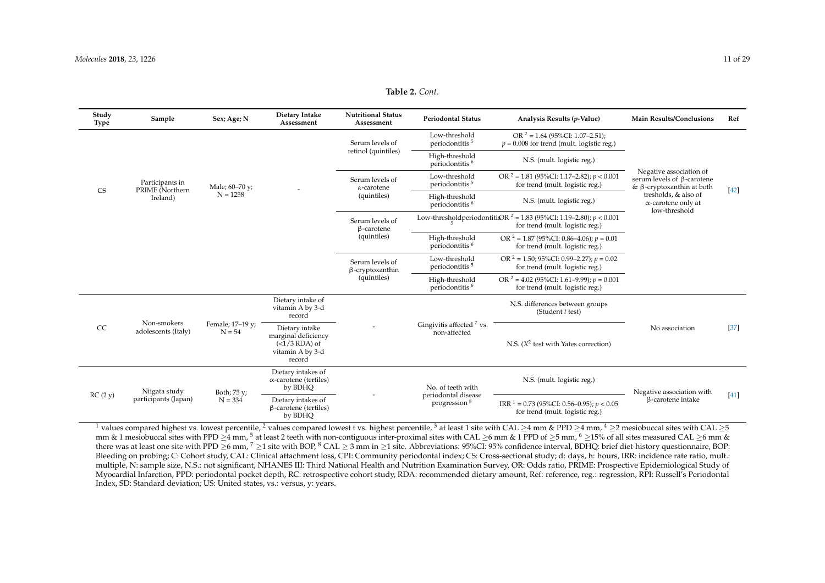**Table 2.** *Cont*.

| Study<br><b>Type</b> | Sample                             | Sex; Age; N                  | Dietary Intake<br>Assessment                                                           | <b>Nutritional Status</b><br>Assessment              | <b>Periodontal Status</b>                       | Analysis Results (p-Value)                                                                                      | <b>Main Results/Conclusions</b>                                                                  | Ref    |
|----------------------|------------------------------------|------------------------------|----------------------------------------------------------------------------------------|------------------------------------------------------|-------------------------------------------------|-----------------------------------------------------------------------------------------------------------------|--------------------------------------------------------------------------------------------------|--------|
|                      |                                    |                              |                                                                                        | Serum levels of                                      | Low-threshold<br>periodontitis <sup>5</sup>     | OR $2 = 1.64$ (95%CI: 1.07-2.51);<br>$p = 0.008$ for trend (mult. logistic reg.)                                |                                                                                                  |        |
|                      |                                    |                              |                                                                                        | retinol (quintiles)                                  | High-threshold<br>periodontitis <sup>6</sup>    | N.S. (mult. logistic reg.)                                                                                      |                                                                                                  |        |
| <b>CS</b>            | Participants in<br>PRIME (Northern | Male; 60–70 y;               |                                                                                        | Serum levels of<br>$\alpha$ -carotene                | Low-threshold<br>periodontitis <sup>5</sup>     | OR $2 = 1.81$ (95%CI: 1.17–2.82); $p < 0.001$<br>for trend (mult. logistic reg.)                                | Negative association of<br>serum levels of $\beta$ -carotene<br>& $\beta$ -cryptoxanthin at both |        |
|                      | Ireland)                           | $N = 1258$                   |                                                                                        | (quintiles)                                          | High-threshold<br>periodontitis <sup>6</sup>    | N.S. (mult. logistic reg.)                                                                                      | tresholds, & also of<br>$\alpha$ -carotene only at<br>low-threshold                              | $[42]$ |
|                      |                                    |                              |                                                                                        | Serum levels of<br>$\beta$ -carotene                 | $\overline{a}$                                  | Low-threshold period on titis OR $^2$ = 1.83 (95%CI: 1.19–2.80); $p < 0.001$<br>for trend (mult. logistic reg.) |                                                                                                  |        |
|                      |                                    |                              |                                                                                        | (quintiles)                                          | High-threshold<br>periodontitis <sup>6</sup>    | OR $^2$ = 1.87 (95%CI: 0.86-4.06); $p = 0.01$<br>for trend (mult. logistic reg.)                                |                                                                                                  |        |
|                      |                                    |                              |                                                                                        | Serum levels of<br>$\beta$ -cryptoxanthin            | Low-threshold<br>periodontitis <sup>5</sup>     | OR $2 = 1.50$ ; 95%CI: 0.99–2.27); $p = 0.02$<br>for trend (mult. logistic reg.)                                |                                                                                                  |        |
|                      |                                    |                              |                                                                                        | (quintiles)                                          | High-threshold<br>periodontitis <sup>6</sup>    | OR $2 = 4.02$ (95%CI: 1.61–9.99); $p = 0.001$<br>for trend (mult. logistic reg.)                                |                                                                                                  |        |
|                      |                                    |                              | Dietary intake of<br>vitamin A by 3-d<br>record                                        |                                                      |                                                 | N.S. differences between groups<br>(Student t test)                                                             |                                                                                                  |        |
| CC                   | Non-smokers<br>adolescents (Italy) | Female; 17-19 y;<br>$N = 54$ | Dietary intake<br>marginal deficiency<br>$(<1/3$ RDA) of<br>vitamin A by 3-d<br>record | Gingivitis affected <sup>7</sup> vs.<br>non-affected | N.S. $(X^2$ test with Yates correction)         | No association                                                                                                  | $[37]$                                                                                           |        |
|                      | Niigata study                      | Both; 75 y;                  | Dietary intakes of<br>$\alpha$ -carotene (tertiles)<br>by BDHQ                         |                                                      | No. of teeth with                               | N.S. (mult. logistic reg.)                                                                                      | Negative association with                                                                        | $[41]$ |
| RC(2y)               | participants (Japan)               | $N = 334$                    | Dietary intakes of<br>$\beta$ -carotene (tertiles)<br>by BDHO                          |                                                      | periodontal disease<br>progression <sup>8</sup> | IRR $1 = 0.73$ (95%CI: 0.56–0.95); $p < 0.05$<br>for trend (mult. logistic reg.)                                | $\beta$ -carotene intake                                                                         |        |

<span id="page-10-0"></span><sup>1</sup> values compared highest vs. lowest percentile, <sup>2</sup> values compared lowest t vs. highest percentile, <sup>3</sup> at least 1 site with CAL >4 mm & PPD >4 mm, <sup>4</sup> >2 mesiobuccal sites with CAL >5 mm & 1 mesiobuccal sites with PPD ≥4 mm, <sup>5</sup> at least 2 teeth with non-contiguous inter-proximal sites with CAL ≥6 mm & 1 PPD of ≥5 mm, <sup>6</sup> ≥15% of all sites measured CAL ≥6 mm & there was at least one site with PPD  $\geq$ 6 mm,  $^7$   $\geq$ 1 site with BOP,  $^8$  CAL  $\geq$  3 mm in  $\geq$ 1 site. Abbreviations: 95%CI: 95% confidence interval, BDHQ: brief diet-history questionnaire, BOP: Bleeding on probing; C: Cohort study, CAL: Clinical attachment loss, CPI: Community periodontal index; CS: Cross-sectional study; d: days, h: hours, IRR: incidence rate ratio, mult.: multiple, N: sample size, N.S.: not significant, NHANES III: Third National Health and Nutrition Examination Survey, OR: Odds ratio, PRIME: Prospective Epidemiological Study of Myocardial Infarction, PPD: periodontal pocket depth, RC: retrospective cohort study, RDA: recommended dietary amount, Ref: reference, reg.: regression, RPI: Russell's Periodontal Index, SD: Standard deviation; US: United states, vs.: versus, y: years.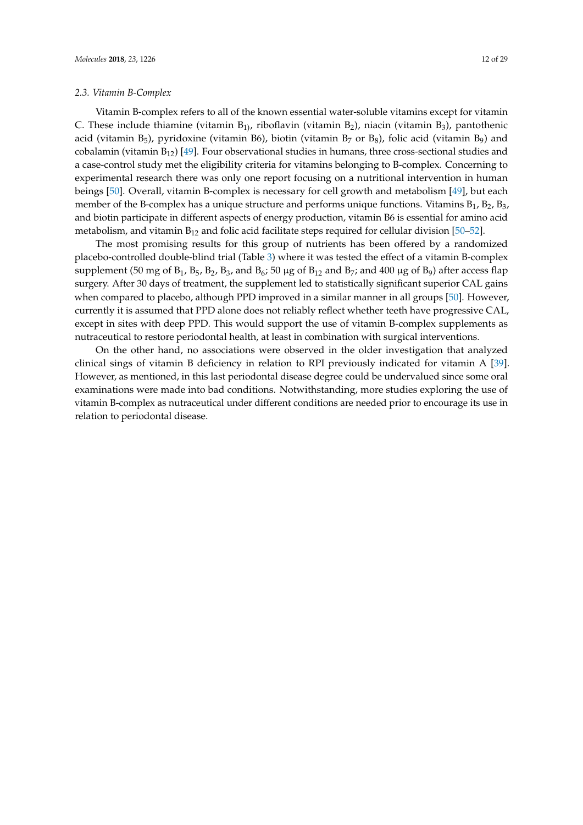### *2.3. Vitamin B-Complex*

Vitamin B-complex refers to all of the known essential water-soluble vitamins except for vitamin C. These include thiamine (vitamin  $B_{1}$ ), riboflavin (vitamin  $B_2$ ), niacin (vitamin  $B_3$ ), pantothenic acid (vitamin  $B_5$ ), pyridoxine (vitamin B6), biotin (vitamin  $B_7$  or  $B_8$ ), folic acid (vitamin  $B_9$ ) and cobalamin (vitamin  $B_{12}$ ) [\[49\]](#page-27-3). Four observational studies in humans, three cross-sectional studies and a case-control study met the eligibility criteria for vitamins belonging to B-complex. Concerning to experimental research there was only one report focusing on a nutritional intervention in human beings [\[50\]](#page-27-4). Overall, vitamin B-complex is necessary for cell growth and metabolism [\[49\]](#page-27-3), but each member of the B-complex has a unique structure and performs unique functions. Vitamins  $B_1$ ,  $B_2$ ,  $B_3$ , and biotin participate in different aspects of energy production, vitamin B6 is essential for amino acid metabolism, and vitamin  $B_{12}$  and folic acid facilitate steps required for cellular division [\[50–](#page-27-4)[52\]](#page-27-5).

The most promising results for this group of nutrients has been offered by a randomized placebo-controlled double-blind trial (Table [3\)](#page-13-0) where it was tested the effect of a vitamin B-complex supplement (50 mg of  $B_1$ ,  $B_5$ ,  $B_2$ ,  $B_3$ , and  $B_6$ ; 50 µg of  $B_{12}$  and  $B_7$ ; and 400 µg of  $B_9$ ) after access flap surgery. After 30 days of treatment, the supplement led to statistically significant superior CAL gains when compared to placebo, although PPD improved in a similar manner in all groups [\[50\]](#page-27-4). However, currently it is assumed that PPD alone does not reliably reflect whether teeth have progressive CAL, except in sites with deep PPD. This would support the use of vitamin B-complex supplements as nutraceutical to restore periodontal health, at least in combination with surgical interventions.

On the other hand, no associations were observed in the older investigation that analyzed clinical sings of vitamin B deficiency in relation to RPI previously indicated for vitamin A [\[39\]](#page-26-27). However, as mentioned, in this last periodontal disease degree could be undervalued since some oral examinations were made into bad conditions. Notwithstanding, more studies exploring the use of vitamin B-complex as nutraceutical under different conditions are needed prior to encourage its use in relation to periodontal disease.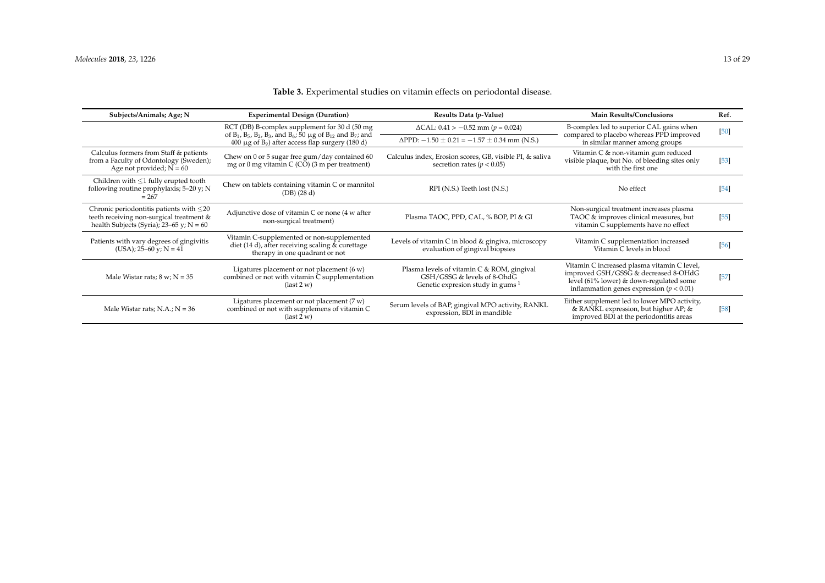| Subjects/Animals; Age; N<br><b>Experimental Design (Duration)</b>                                                                         |                                                                                                                                                       | Results Data (p-Value)                                                                                           | <b>Main Results/Conclusions</b>                                                                                                                                                | Ref.   |
|-------------------------------------------------------------------------------------------------------------------------------------------|-------------------------------------------------------------------------------------------------------------------------------------------------------|------------------------------------------------------------------------------------------------------------------|--------------------------------------------------------------------------------------------------------------------------------------------------------------------------------|--------|
|                                                                                                                                           | RCT (DB) B-complex supplement for 30 d (50 mg                                                                                                         | $\Delta$ CAL: 0.41 > -0.52 mm (p = 0.024)                                                                        | B-complex led to superior CAL gains when                                                                                                                                       | $[50]$ |
|                                                                                                                                           | of $B_1$ , $B_5$ , $B_2$ , $B_3$ , and $B_6$ ; 50 µg of $B_{12}$ and $B_7$ ; and<br>$400 \mu$ g of B <sub>9</sub> ) after access flap surgery (180 d) | $\Delta$ PPD: $-1.50 \pm 0.21 = -1.57 \pm 0.34$ mm (N.S.)                                                        | compared to placebo whereas PPD improved<br>in similar manner among groups                                                                                                     |        |
| Calculus formers from Staff & patients<br>from a Faculty of Odontology (Sweden);<br>Age not provided; $N = 60$                            | Chew on 0 or 5 sugar free gum/day contained 60<br>mg or $0$ mg vitamin $C(CO)$ (3 m per treatment)                                                    | Calculus index, Erosion scores, GB, visible PI, & saliva<br>secretion rates ( $p < 0.05$ )                       | Vitamin C & non-vitamin gum reduced<br>visible plaque, but No. of bleeding sites only<br>with the first one                                                                    | $[53]$ |
| Children with $\leq 1$ fully erupted tooth<br>following routine prophylaxis; 5-20 y; N<br>$= 267$                                         | Chew on tablets containing vitamin C or mannitol<br>(DB) (28 d)                                                                                       | RPI (N.S.) Teeth lost (N.S.)                                                                                     | No effect                                                                                                                                                                      | $[54]$ |
| Chronic periodontitis patients with $\leq$ 20<br>teeth receiving non-surgical treatment &<br>health Subjects (Syria); $23-65$ y; $N = 60$ | Adjunctive dose of vitamin C or none (4 w after<br>non-surgical treatment)                                                                            | Plasma TAOC, PPD, CAL, % BOP, PI & GI                                                                            | Non-surgical treatment increases plasma<br>TAOC & improves clinical measures, but<br>vitamin C supplements have no effect                                                      | $[55]$ |
| Patients with vary degrees of gingivitis<br>$(USA); 25–60 y; N = 41$                                                                      | Vitamin C-supplemented or non-supplemented<br>diet (14 d), after receiving scaling & curettage<br>therapy in one quadrant or not                      | Levels of vitamin C in blood & gingiva, microscopy<br>evaluation of gingival biopsies                            | Vitamin C supplementation increased<br>Vitamin C levels in blood                                                                                                               | $[56]$ |
| Male Wistar rats; $8 w$ ; $N = 35$                                                                                                        | Ligatures placement or not placement $(6 w)$<br>combined or not with vitamin C supplementation<br>$last 2 w$                                          | Plasma levels of vitamin C & ROM, gingival<br>GSH/GSSG & levels of 8-OhdG<br>Genetic expresion study in gums $1$ | Vitamin C increased plasma vitamin C level,<br>improved GSH/GSSG & decreased 8-OHdG<br>level (61% lower) & down-regulated some<br>inflammation genes expression ( $p < 0.01$ ) | $[57]$ |
| Male Wistar rats; N.A.; $N = 36$                                                                                                          | Ligatures placement or not placement $(7 w)$<br>combined or not with supplemens of vitamin C<br>$\left(\text{last } 2 w\right)$                       | Serum levels of BAP, gingival MPO activity, RANKL<br>expression, BDI in mandible                                 | Either supplement led to lower MPO activity,<br>& RANKL expression, but higher AP; &<br>improved BDI at the periodontitis areas                                                | $[58]$ |

# **Table 3.** Experimental studies on vitamin effects on periodontal disease.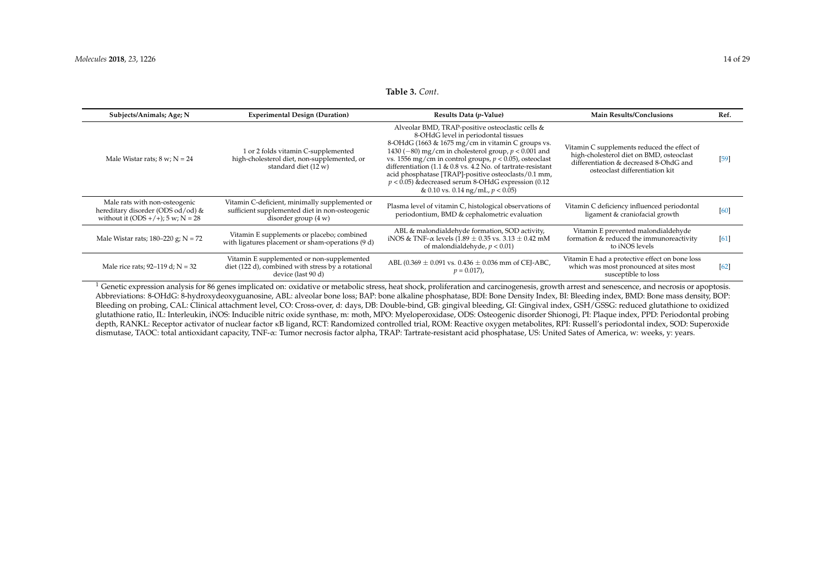#### **Table 3.** *Cont*.

| Subjects/Animals; Age; N                                                                                  | <b>Experimental Design (Duration)</b>                                                                                      | Results Data (p-Value)                                                                                                                                                                                                                                                                                                                                                                                                                                                                            | <b>Main Results/Conclusions</b>                                                                                                                                     | Ref.   |
|-----------------------------------------------------------------------------------------------------------|----------------------------------------------------------------------------------------------------------------------------|---------------------------------------------------------------------------------------------------------------------------------------------------------------------------------------------------------------------------------------------------------------------------------------------------------------------------------------------------------------------------------------------------------------------------------------------------------------------------------------------------|---------------------------------------------------------------------------------------------------------------------------------------------------------------------|--------|
| Male Wistar rats; $8 w$ ; $N = 24$                                                                        | 1 or 2 folds vitamin C-supplemented<br>high-cholesterol diet, non-supplemented, or<br>standard diet (12 w)                 | Alveolar BMD, TRAP-positive osteoclastic cells &<br>8-OHdG level in periodontal tissues<br>8-OHdG (1663 & 1675 mg/cm in vitamin C groups vs.<br>1430 ( $-80$ ) mg/cm in cholesterol group, $p < 0.001$ and<br>vs. 1556 mg/cm in control groups, $p < 0.05$ ), osteoclast<br>differentiation (1.1 & 0.8 vs. 4.2 No. of tartrate-resistant<br>acid phosphatase [TRAP]-positive osteoclasts/0.1 mm,<br>$p < 0.05$ ) & decreased serum 8-OHdG expression (0.12<br>& 0.10 vs. 0.14 ng/mL, $p < 0.05$ ) | Vitamin C supplements reduced the effect of<br>high-cholesterol diet on BMD, osteoclast<br>differentiation & decreased 8-OhdG and<br>osteoclast differentiation kit | $[59]$ |
| Male rats with non-osteogenic<br>hereditary disorder (ODS od/od) &<br>without it (ODS +/+); $5 w; N = 28$ | Vitamin C-deficient, minimally supplemented or<br>sufficient supplemented diet in non-osteogenic<br>disorder group $(4 w)$ | Plasma level of vitamin C, histological observations of<br>periodontium, BMD & cephalometric evaluation                                                                                                                                                                                                                                                                                                                                                                                           | Vitamin C deficiency influenced periodontal<br>ligament & craniofacial growth                                                                                       | [60]   |
| Male Wistar rats; $180-220$ g; $N = 72$                                                                   | Vitamin E supplements or placebo; combined<br>with ligatures placement or sham-operations (9 d)                            | ABL & malondialdehyde formation, SOD activity,<br>iNOS & TNF- $\alpha$ levels (1.89 $\pm$ 0.35 vs. 3.13 $\pm$ 0.42 mM<br>of malondialdehyde, $p < 0.01$ )                                                                                                                                                                                                                                                                                                                                         | Vitamin E prevented malondialdehyde<br>formation & reduced the immunoreactivity<br>to iNOS levels                                                                   | [61]   |
| Male rice rats; $92-119$ d; $N = 32$                                                                      | Vitamin E supplemented or non-supplemented<br>diet (122 d), combined with stress by a rotational<br>device (last 90 d)     | ABL (0.369 $\pm$ 0.091 vs. 0.436 $\pm$ 0.036 mm of CEI-ABC,<br>$p = 0.017$ ,                                                                                                                                                                                                                                                                                                                                                                                                                      | Vitamin E had a protective effect on bone loss<br>which was most pronounced at sites most<br>susceptible to loss                                                    | [62]   |
|                                                                                                           |                                                                                                                            | Genetic expression analysis for 86 genes implicated on: oxidative or metabolic stress, heat shock, proliferation and carcinogenesis, growth arrest and senescence, and necrosis or apoptosis.                                                                                                                                                                                                                                                                                                     |                                                                                                                                                                     |        |

<span id="page-13-0"></span>Abbreviations: 8-OHdG: 8-hydroxydeoxyguanosine, ABL: alveolar bone loss; BAP: bone alkaline phosphatase, BDI: Bone Density Index, BI: Bleeding index, BMD: Bone mass density, BOP: Bleeding on probing, CAL: Clinical attachment level, CO: Cross-over, d: days, DB: Double-bind, GB: gingival bleeding, GI: Gingival index, GSH/GSSG: reduced glutathione to oxidized glutathione ratio, IL: Interleukin, iNOS: Inducible nitric oxide synthase, m: moth, MPO: Myeloperoxidase, ODS: Osteogenic disorder Shionogi, PI: Plaque index, PPD: Periodontal probing depth, RANKL: Receptor activator of nuclear factor κB ligand, RCT: Randomized controlled trial, ROM: Reactive oxygen metabolites, RPI: Russell's periodontal index, SOD: Superoxide dismutase, TAOC: total antioxidant capacity, TNF-α: Tumor necrosis factor alpha, TRAP: Tartrate-resistant acid phosphatase, US: United Sates of America, w: weeks, y: years.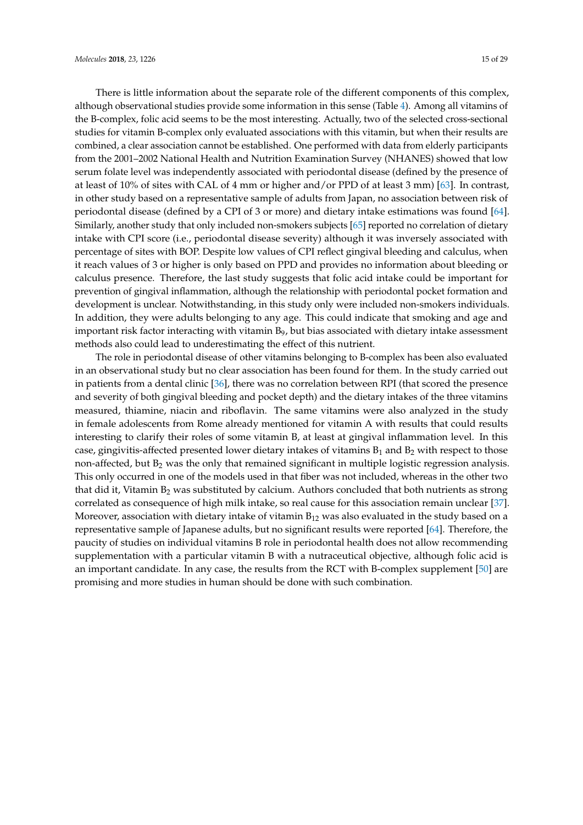There is little information about the separate role of the different components of this complex, although observational studies provide some information in this sense (Table [4\)](#page-15-0). Among all vitamins of the B-complex, folic acid seems to be the most interesting. Actually, two of the selected cross-sectional studies for vitamin B-complex only evaluated associations with this vitamin, but when their results are combined, a clear association cannot be established. One performed with data from elderly participants from the 2001–2002 National Health and Nutrition Examination Survey (NHANES) showed that low serum folate level was independently associated with periodontal disease (defined by the presence of at least of 10% of sites with CAL of 4 mm or higher and/or PPD of at least 3 mm) [\[63\]](#page-27-16). In contrast, in other study based on a representative sample of adults from Japan, no association between risk of periodontal disease (defined by a CPI of 3 or more) and dietary intake estimations was found [\[64\]](#page-27-17). Similarly, another study that only included non-smokers subjects [\[65\]](#page-27-18) reported no correlation of dietary intake with CPI score (i.e., periodontal disease severity) although it was inversely associated with percentage of sites with BOP. Despite low values of CPI reflect gingival bleeding and calculus, when it reach values of 3 or higher is only based on PPD and provides no information about bleeding or calculus presence. Therefore, the last study suggests that folic acid intake could be important for prevention of gingival inflammation, although the relationship with periodontal pocket formation and development is unclear. Notwithstanding, in this study only were included non-smokers individuals. In addition, they were adults belonging to any age. This could indicate that smoking and age and important risk factor interacting with vitamin  $B<sub>9</sub>$ , but bias associated with dietary intake assessment methods also could lead to underestimating the effect of this nutrient.

The role in periodontal disease of other vitamins belonging to B-complex has been also evaluated in an observational study but no clear association has been found for them. In the study carried out in patients from a dental clinic [\[36\]](#page-26-24), there was no correlation between RPI (that scored the presence and severity of both gingival bleeding and pocket depth) and the dietary intakes of the three vitamins measured, thiamine, niacin and riboflavin. The same vitamins were also analyzed in the study in female adolescents from Rome already mentioned for vitamin A with results that could results interesting to clarify their roles of some vitamin B, at least at gingival inflammation level. In this case, gingivitis-affected presented lower dietary intakes of vitamins  $B_1$  and  $B_2$  with respect to those non-affected, but  $B_2$  was the only that remained significant in multiple logistic regression analysis. This only occurred in one of the models used in that fiber was not included, whereas in the other two that did it, Vitamin  $B_2$  was substituted by calcium. Authors concluded that both nutrients as strong correlated as consequence of high milk intake, so real cause for this association remain unclear [\[37\]](#page-26-25). Moreover, association with dietary intake of vitamin  $B_{12}$  was also evaluated in the study based on a representative sample of Japanese adults, but no significant results were reported [\[64\]](#page-27-17). Therefore, the paucity of studies on individual vitamins B role in periodontal health does not allow recommending supplementation with a particular vitamin B with a nutraceutical objective, although folic acid is an important candidate. In any case, the results from the RCT with B-complex supplement [\[50\]](#page-27-4) are promising and more studies in human should be done with such combination.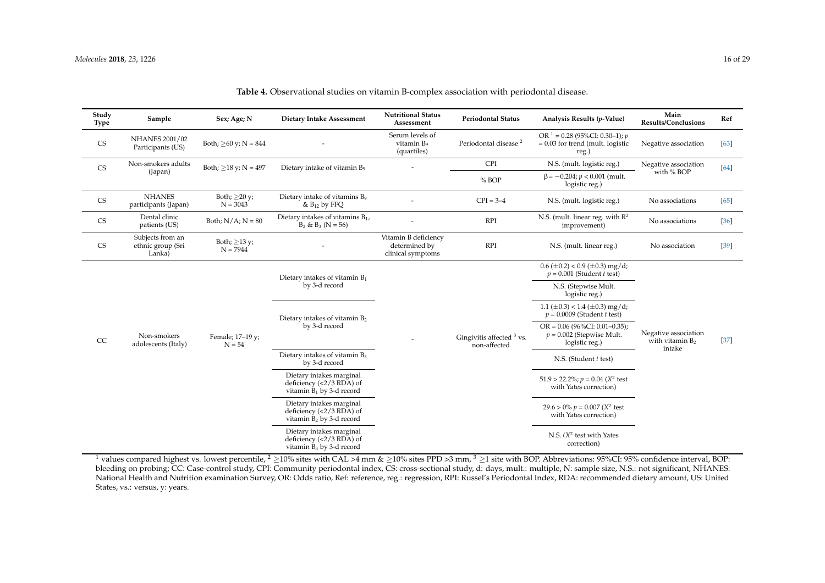| Study<br><b>Type</b>   | Sample                                          | Sex; Age; N                      | Dietary Intake Assessment                                                             | <b>Nutritional Status</b><br>Assessment                    | <b>Periodontal Status</b>                   | Analysis Results (p-Value)                                                       | Main<br><b>Results/Conclusions</b>                   | Ref    |
|------------------------|-------------------------------------------------|----------------------------------|---------------------------------------------------------------------------------------|------------------------------------------------------------|---------------------------------------------|----------------------------------------------------------------------------------|------------------------------------------------------|--------|
| ${\rm CS}$             | NHANES 2001/02<br>Participants (US)             | Both; $\geq 60$ y; N = 844       |                                                                                       | Serum levels of<br>vitamin B <sub>9</sub><br>(quartiles)   | Periodontal disease <sup>2</sup>            | OR $1 = 0.28$ (95%CI: 0.30-1); p<br>$= 0.03$ for trend (mult. logistic<br>reg.)  | Negative association                                 | $[63]$ |
| $\mathbb{C}\mathbf{S}$ | Non-smokers adults                              | Both; $\geq$ 18 y; N = 497       | Dietary intake of vitamin B <sub>9</sub>                                              |                                                            | <b>CPI</b>                                  | N.S. (mult. logistic reg.)                                                       | Negative association                                 | [64]   |
|                        | (Japan)                                         |                                  |                                                                                       |                                                            | % BOP                                       | $\beta$ = -0.204; $p < 0.001$ (mult.<br>logistic reg.)                           | with % BOP                                           |        |
| <b>CS</b>              | <b>NHANES</b><br>participants (Japan)           | Both; $\geq$ 20 y;<br>$N = 3043$ | Dietary intake of vitamins B <sub>9</sub><br>& $B_{12}$ by FFQ                        |                                                            | $CPI = 3-4$                                 | N.S. (mult. logistic reg.)                                                       | No associations                                      | [65]   |
| $\mathbb{C}\mathbb{S}$ | Dental clinic<br>patients (US)                  | Both; $N/A$ ; $N = 80$           | Dietary intakes of vitamins $B_1$ ,<br>$B_2$ & $B_3$ (N = 56)                         |                                                            | <b>RPI</b>                                  | N.S. (mult. linear reg. with $R^2$<br>improvement)                               | No associations                                      | $[36]$ |
| $\mathbb{C}\mathbb{S}$ | Subjects from an<br>ethnic group (Sri<br>Lanka) | Both; $\geq$ 13 y;<br>$N = 7944$ |                                                                                       | Vitamin B deficiency<br>determined by<br>clinical symptoms | <b>RPI</b>                                  | N.S. (mult. linear reg.)                                                         | No association                                       | $[39]$ |
|                        |                                                 |                                  | Dietary intakes of vitamin $B_1$                                                      |                                                            |                                             | $0.6 \ (\pm 0.2) < 0.9 \ (\pm 0.3)$ mg/d;<br>$p = 0.001$ (Student t test)        |                                                      |        |
|                        |                                                 |                                  | by 3-d record                                                                         |                                                            |                                             | N.S. (Stepwise Mult.<br>logistic reg.)                                           | Negative association<br>with vitamin $B_2$<br>intake |        |
|                        |                                                 |                                  | Dietary intakes of vitamin B <sub>2</sub><br>by 3-d record                            |                                                            | Gingivitis affected $3$ vs.<br>non-affected | $1.1 \ (\pm 0.3) < 1.4 \ (\pm 0.3)$ mg/d;<br>$p = 0.0009$ (Student t test)       |                                                      |        |
| CC                     | Non-smokers<br>adolescents (Italy)              | Female; 17-19 y;<br>$N = 54$     |                                                                                       |                                                            |                                             | $OR = 0.06$ (96%CI: 0.01-0.35);<br>$p = 0.002$ (Stepwise Mult.<br>logistic reg.) |                                                      | $[37]$ |
|                        |                                                 |                                  | Dietary intakes of vitamin B <sub>3</sub><br>by 3-d record                            |                                                            |                                             | N.S. (Student t test)                                                            |                                                      |        |
|                        |                                                 |                                  | Dietary intakes marginal<br>deficiency (<2/3 RDA) of<br>vitamin $B_1$ by 3-d record   |                                                            |                                             | $51.9 > 22.2\%$ ; $p = 0.04$ ( $X^2$ test<br>with Yates correction)              |                                                      |        |
|                        |                                                 |                                  | Dietary intakes marginal<br>deficiency $(<2/3$ RDA) of<br>vitamin $B_2$ by 3-d record |                                                            |                                             | $29.6 > 0\% p = 0.007 (X^2 \text{ test})$<br>with Yates correction)              |                                                      |        |
|                        |                                                 |                                  | Dietary intakes marginal<br>deficiency $(<2/3$ RDA) of<br>vitamin $B_3$ by 3-d record |                                                            |                                             | N.S. $(X^2$ test with Yates<br>correction)                                       |                                                      |        |

### **Table 4.** Observational studies on vitamin B-complex association with periodontal disease.

<span id="page-15-0"></span><sup>1</sup> values compared highest vs. lowest percentile, <sup>2</sup> >10% sites with CAL >4 mm & >10% sites PPD >3 mm, <sup>3</sup> >1 site with BOP. Abbreviations: 95%CI: 95% confidence interval, BOP: bleeding on probing; CC: Case-control study, CPI: Community periodontal index, CS: cross-sectional study, d: days, mult.: multiple, N: sample size, N.S.: not significant, NHANES: National Health and Nutrition examination Survey, OR: Odds ratio, Ref: reference, reg.: regression, RPI: Russel's Periodontal Index, RDA: recommended dietary amount, US: United States, vs.: versus, y: years.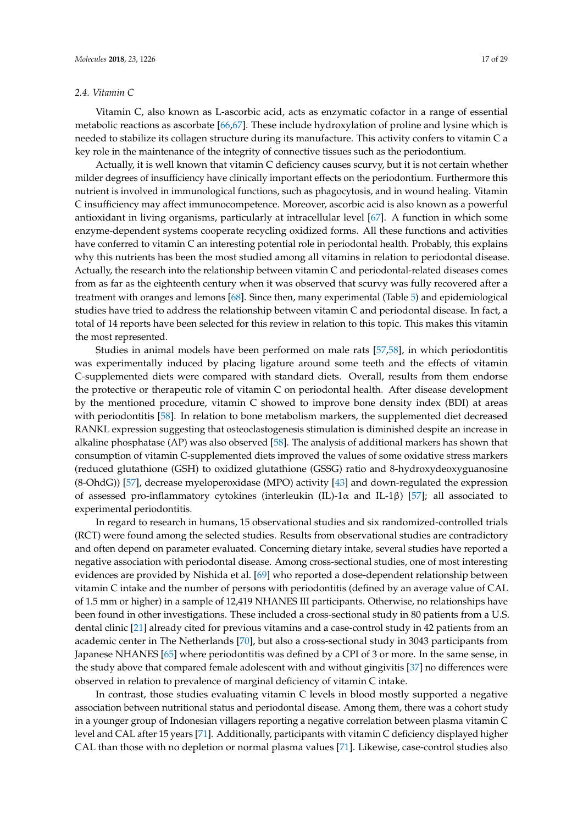### *2.4. Vitamin C*

Vitamin C, also known as L-ascorbic acid, acts as enzymatic cofactor in a range of essential metabolic reactions as ascorbate [\[66,](#page-27-22)[67\]](#page-27-23). These include hydroxylation of proline and lysine which is needed to stabilize its collagen structure during its manufacture. This activity confers to vitamin C a key role in the maintenance of the integrity of connective tissues such as the periodontium.

Actually, it is well known that vitamin C deficiency causes scurvy, but it is not certain whether milder degrees of insufficiency have clinically important effects on the periodontium. Furthermore this nutrient is involved in immunological functions, such as phagocytosis, and in wound healing. Vitamin C insufficiency may affect immunocompetence. Moreover, ascorbic acid is also known as a powerful antioxidant in living organisms, particularly at intracellular level [\[67\]](#page-27-23). A function in which some enzyme-dependent systems cooperate recycling oxidized forms. All these functions and activities have conferred to vitamin C an interesting potential role in periodontal health. Probably, this explains why this nutrients has been the most studied among all vitamins in relation to periodontal disease. Actually, the research into the relationship between vitamin C and periodontal-related diseases comes from as far as the eighteenth century when it was observed that scurvy was fully recovered after a treatment with oranges and lemons [\[68\]](#page-28-0). Since then, many experimental (Table [5\)](#page-19-0) and epidemiological studies have tried to address the relationship between vitamin C and periodontal disease. In fact, a total of 14 reports have been selected for this review in relation to this topic. This makes this vitamin the most represented.

Studies in animal models have been performed on male rats [\[57](#page-27-24)[,58\]](#page-27-25), in which periodontitis was experimentally induced by placing ligature around some teeth and the effects of vitamin C-supplemented diets were compared with standard diets. Overall, results from them endorse the protective or therapeutic role of vitamin C on periodontal health. After disease development by the mentioned procedure, vitamin C showed to improve bone density index (BDI) at areas with periodontitis [\[58\]](#page-27-25). In relation to bone metabolism markers, the supplemented diet decreased RANKL expression suggesting that osteoclastogenesis stimulation is diminished despite an increase in alkaline phosphatase (AP) was also observed [\[58\]](#page-27-25). The analysis of additional markers has shown that consumption of vitamin C-supplemented diets improved the values of some oxidative stress markers (reduced glutathione (GSH) to oxidized glutathione (GSSG) ratio and 8-hydroxydeoxyguanosine (8-OhdG)) [\[57\]](#page-27-24), decrease myeloperoxidase (MPO) activity [\[43\]](#page-26-31) and down-regulated the expression of assessed pro-inflammatory cytokines (interleukin (IL)-1 $\alpha$  and IL-1 $\beta$ ) [\[57\]](#page-27-24); all associated to experimental periodontitis.

In regard to research in humans, 15 observational studies and six randomized-controlled trials (RCT) were found among the selected studies. Results from observational studies are contradictory and often depend on parameter evaluated. Concerning dietary intake, several studies have reported a negative association with periodontal disease. Among cross-sectional studies, one of most interesting evidences are provided by Nishida et al. [\[69\]](#page-28-1) who reported a dose-dependent relationship between vitamin C intake and the number of persons with periodontitis (defined by an average value of CAL of 1.5 mm or higher) in a sample of 12,419 NHANES III participants. Otherwise, no relationships have been found in other investigations. These included a cross-sectional study in 80 patients from a U.S. dental clinic [\[21\]](#page-25-20) already cited for previous vitamins and a case-control study in 42 patients from an academic center in The Netherlands [\[70\]](#page-28-2), but also a cross-sectional study in 3043 participants from Japanese NHANES [\[65\]](#page-27-18) where periodontitis was defined by a CPI of 3 or more. In the same sense, in the study above that compared female adolescent with and without gingivitis [\[37\]](#page-26-25) no differences were observed in relation to prevalence of marginal deficiency of vitamin C intake.

In contrast, those studies evaluating vitamin C levels in blood mostly supported a negative association between nutritional status and periodontal disease. Among them, there was a cohort study in a younger group of Indonesian villagers reporting a negative correlation between plasma vitamin C level and CAL after 15 years [\[71\]](#page-28-3). Additionally, participants with vitamin C deficiency displayed higher CAL than those with no depletion or normal plasma values [\[71\]](#page-28-3). Likewise, case-control studies also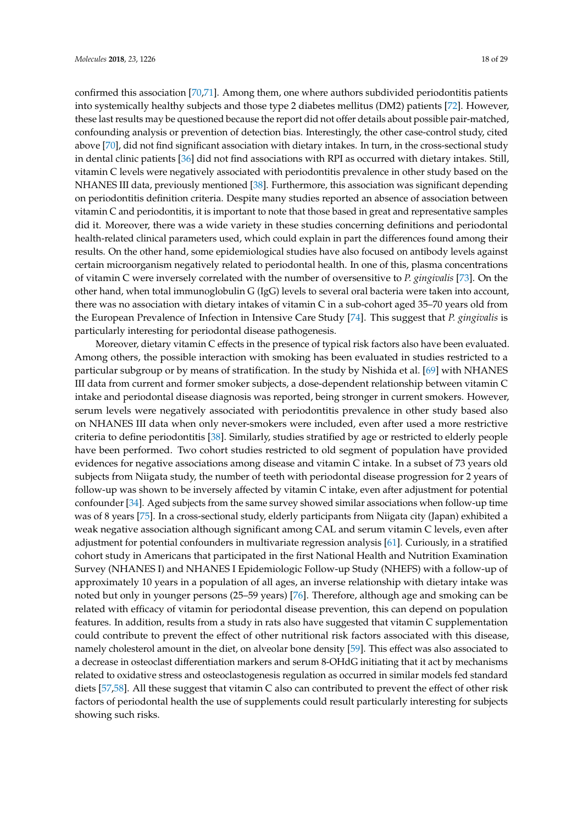confirmed this association [\[70](#page-28-2)[,71\]](#page-28-3). Among them, one where authors subdivided periodontitis patients into systemically healthy subjects and those type 2 diabetes mellitus (DM2) patients [\[72\]](#page-28-4). However, these last results may be questioned because the report did not offer details about possible pair-matched, confounding analysis or prevention of detection bias. Interestingly, the other case-control study, cited above [\[70\]](#page-28-2), did not find significant association with dietary intakes. In turn, in the cross-sectional study in dental clinic patients [\[36\]](#page-26-24) did not find associations with RPI as occurred with dietary intakes. Still, vitamin C levels were negatively associated with periodontitis prevalence in other study based on the NHANES III data, previously mentioned [\[38\]](#page-26-26). Furthermore, this association was significant depending on periodontitis definition criteria. Despite many studies reported an absence of association between vitamin C and periodontitis, it is important to note that those based in great and representative samples did it. Moreover, there was a wide variety in these studies concerning definitions and periodontal health-related clinical parameters used, which could explain in part the differences found among their results. On the other hand, some epidemiological studies have also focused on antibody levels against certain microorganism negatively related to periodontal health. In one of this, plasma concentrations of vitamin C were inversely correlated with the number of oversensitive to *P. gingivalis* [\[73\]](#page-28-5). On the other hand, when total immunoglobulin G (IgG) levels to several oral bacteria were taken into account, there was no association with dietary intakes of vitamin C in a sub-cohort aged 35–70 years old from the European Prevalence of Infection in Intensive Care Study [\[74\]](#page-28-6). This suggest that *P. gingivalis* is particularly interesting for periodontal disease pathogenesis.

Moreover, dietary vitamin C effects in the presence of typical risk factors also have been evaluated. Among others, the possible interaction with smoking has been evaluated in studies restricted to a particular subgroup or by means of stratification. In the study by Nishida et al. [\[69\]](#page-28-1) with NHANES III data from current and former smoker subjects, a dose-dependent relationship between vitamin C intake and periodontal disease diagnosis was reported, being stronger in current smokers. However, serum levels were negatively associated with periodontitis prevalence in other study based also on NHANES III data when only never-smokers were included, even after used a more restrictive criteria to define periodontitis [\[38\]](#page-26-26). Similarly, studies stratified by age or restricted to elderly people have been performed. Two cohort studies restricted to old segment of population have provided evidences for negative associations among disease and vitamin C intake. In a subset of 73 years old subjects from Niigata study, the number of teeth with periodontal disease progression for 2 years of follow-up was shown to be inversely affected by vitamin C intake, even after adjustment for potential confounder [\[34\]](#page-26-12). Aged subjects from the same survey showed similar associations when follow-up time was of 8 years [\[75\]](#page-28-7). In a cross-sectional study, elderly participants from Niigata city (Japan) exhibited a weak negative association although significant among CAL and serum vitamin C levels, even after adjustment for potential confounders in multivariate regression analysis [\[61\]](#page-27-26). Curiously, in a stratified cohort study in Americans that participated in the first National Health and Nutrition Examination Survey (NHANES I) and NHANES I Epidemiologic Follow-up Study (NHEFS) with a follow-up of approximately 10 years in a population of all ages, an inverse relationship with dietary intake was noted but only in younger persons (25–59 years) [\[76\]](#page-28-8). Therefore, although age and smoking can be related with efficacy of vitamin for periodontal disease prevention, this can depend on population features. In addition, results from a study in rats also have suggested that vitamin C supplementation could contribute to prevent the effect of other nutritional risk factors associated with this disease, namely cholesterol amount in the diet, on alveolar bone density [\[59\]](#page-27-27). This effect was also associated to a decrease in osteoclast differentiation markers and serum 8-OHdG initiating that it act by mechanisms related to oxidative stress and osteoclastogenesis regulation as occurred in similar models fed standard diets [\[57](#page-27-24)[,58\]](#page-27-25). All these suggest that vitamin C also can contributed to prevent the effect of other risk factors of periodontal health the use of supplements could result particularly interesting for subjects showing such risks.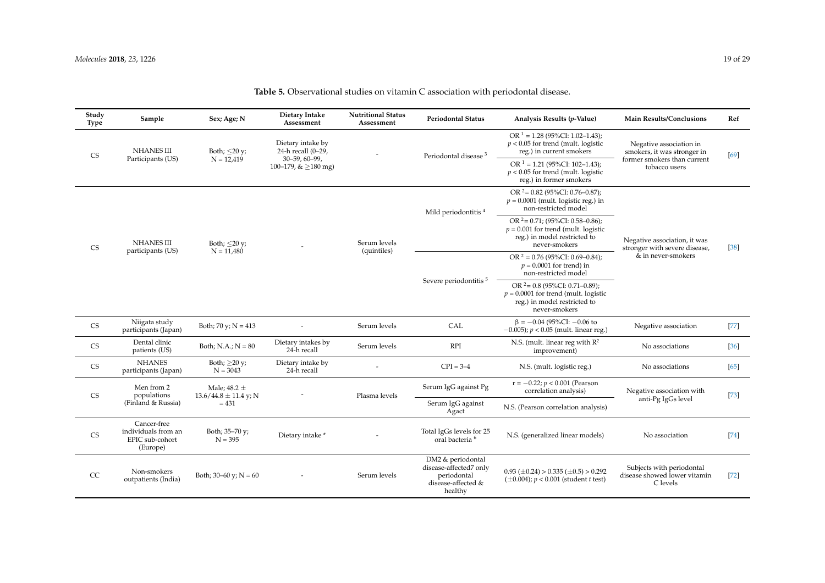| Study<br>Type          | Sample                                                            | Sex; Age; N                                   | Dietary Intake<br>Assessment                                   | <b>Nutritional Status</b><br>Assessment | <b>Periodontal Status</b>                                                                   | Analysis Results (p-Value)                                                                                                    | <b>Main Results/Conclusions</b>                                                       | Ref    |
|------------------------|-------------------------------------------------------------------|-----------------------------------------------|----------------------------------------------------------------|-----------------------------------------|---------------------------------------------------------------------------------------------|-------------------------------------------------------------------------------------------------------------------------------|---------------------------------------------------------------------------------------|--------|
| <b>CS</b>              | <b>NHANES III</b><br>Participants (US)                            | Both; $\leq$ 20 y;<br>$N = 12,419$            | Dietary intake by<br>24-h recall (0-29,<br>$30 - 59, 60 - 99,$ |                                         | Periodontal disease <sup>3</sup>                                                            | OR $1 = 1.28$ (95%CI: 1.02–1.43);<br>$p < 0.05$ for trend (mult. logistic<br>reg.) in current smokers                         | Negative association in<br>smokers, it was stronger in<br>former smokers than current | [69]   |
|                        |                                                                   |                                               | 100-179, $&\geq$ 180 mg)                                       |                                         |                                                                                             | OR $1 = 1.21$ (95%CI: 102-1.43);<br>$p < 0.05$ for trend (mult. logistic<br>reg.) in former smokers                           | tobacco users                                                                         |        |
|                        |                                                                   |                                               |                                                                |                                         | Mild periodontitis <sup>4</sup>                                                             | OR $2 = 0.82$ (95%CI: 0.76-0.87);<br>$p = 0.0001$ (mult. logistic reg.) in<br>non-restricted model                            |                                                                                       |        |
| <b>CS</b>              | <b>NHANES III</b><br>participants (US)                            | Both; $\leq$ 20 y;<br>$N = 11,480$            |                                                                | Serum levels<br>(quintiles)             |                                                                                             | OR $2 = 0.71$ ; (95%CI: 0.58-0.86);<br>$p = 0.001$ for trend (mult. logistic<br>reg.) in model restricted to<br>never-smokers | Negative association, it was<br>stronger with severe disease,<br>& in never-smokers   | $[38]$ |
|                        |                                                                   |                                               |                                                                |                                         |                                                                                             | OR $2 = 0.76$ (95%CI: 0.69–0.84);<br>$p = 0.0001$ for trend) in<br>non-restricted model                                       |                                                                                       |        |
|                        |                                                                   |                                               |                                                                |                                         | Severe periodontitis <sup>5</sup>                                                           | OR $2 = 0.8$ (95%CI: 0.71–0.89);<br>$p = 0.0001$ for trend (mult. logistic<br>reg.) in model restricted to<br>never-smokers   |                                                                                       |        |
| $\mathbb{C}\mathbb{S}$ | Niigata study<br>participants (Japan)                             | Both; 70 y; $N = 413$                         |                                                                | Serum levels                            | CAL                                                                                         | $\beta = -0.04$ (95%CI: $-0.06$ to<br>$-0.005$ ; $p < 0.05$ (mult. linear reg.)                                               | Negative association                                                                  | $[77]$ |
| $\mathbb{C}\mathbb{S}$ | Dental clinic<br>patients (US)                                    | Both; N.A.; $N = 80$                          | Dietary intakes by<br>24-h recall                              | Serum levels                            | <b>RPI</b>                                                                                  | N.S. (mult. linear reg with $R^2$<br>improvement)                                                                             | No associations                                                                       | $[36]$ |
| <b>CS</b>              | <b>NHANES</b><br>participants (Japan)                             | Both; $\geq$ 20 y;<br>$N = 3043$              | Dietary intake by<br>24-h recall                               |                                         | $CPI = 3-4$                                                                                 | N.S. (mult. logistic reg.)                                                                                                    | No associations                                                                       | [65]   |
| CS                     | Men from 2<br>populations                                         | Male; $48.2 \pm$<br>$13.6/44.8 \pm 11.4$ y; N |                                                                | Plasma levels                           | Serum IgG against Pg                                                                        | $r = -0.22; p < 0.001$ (Pearson<br>correlation analysis)                                                                      | Negative association with                                                             | $[73]$ |
|                        | (Finland & Russia)                                                | $= 431$                                       |                                                                |                                         | Serum IgG against<br>Agact                                                                  | N.S. (Pearson correlation analysis)                                                                                           | anti-Pg IgGs level                                                                    |        |
| <b>CS</b>              | Cancer-free<br>individuals from an<br>EPIC sub-cohort<br>(Europe) | Both; 35-70 y;<br>$N = 395$                   | Dietary intake *                                               |                                         | Total IgGs levels for 25<br>oral bacteria <sup>6</sup>                                      | N.S. (generalized linear models)                                                                                              | No association                                                                        | $[74]$ |
| CC                     | Non-smokers<br>outpatients (India)                                | Both; $30-60$ y; $N = 60$                     |                                                                | Serum levels                            | DM2 & periodontal<br>disease-affected7 only<br>periodontal<br>disease-affected &<br>healthy | $0.93 \ (\pm 0.24) > 0.335 \ (\pm 0.5) > 0.292$<br>$(\pm 0.004)$ ; $p < 0.001$ (student t test)                               | Subjects with periodontal<br>disease showed lower vitamin<br>C levels                 | $[72]$ |

# **Table 5.** Observational studies on vitamin C association with periodontal disease.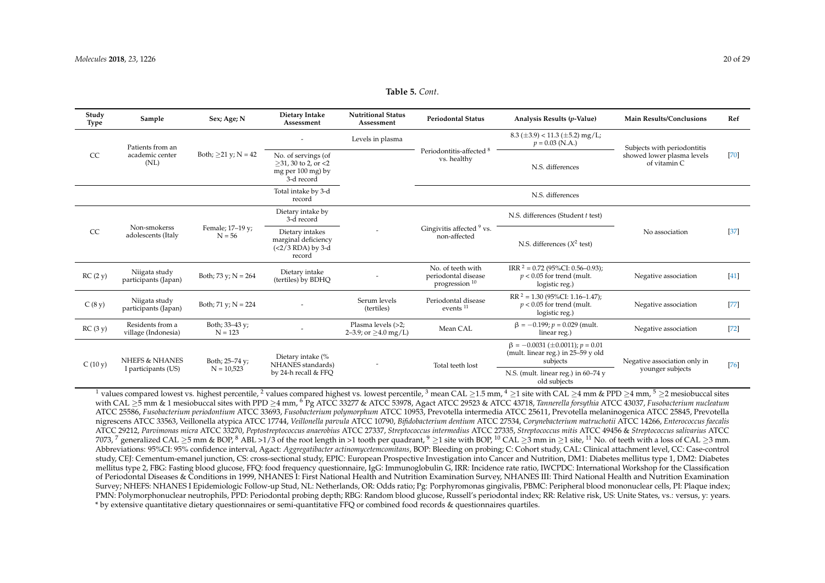| <b>Table 5.</b> Cont. |  |
|-----------------------|--|
|-----------------------|--|

| Study<br><b>Type</b> | Sample                                  | Sex; Age; N                  | Dietary Intake<br>Assessment                                                        | <b>Nutritional Status</b><br>Assessment          | <b>Periodontal Status</b>                                             | Analysis Results (p-Value)                                                                     | <b>Main Results/Conclusions</b>            | Ref    |
|----------------------|-----------------------------------------|------------------------------|-------------------------------------------------------------------------------------|--------------------------------------------------|-----------------------------------------------------------------------|------------------------------------------------------------------------------------------------|--------------------------------------------|--------|
|                      | Patients from an                        |                              |                                                                                     | Levels in plasma                                 |                                                                       | $8.3 \ (\pm 3.9) < 11.3 \ (\pm 5.2)$ mg/L;<br>$p = 0.03$ (N.A.)                                | Subjects with periodontitis                |        |
| CC                   | academic center<br>(NL)                 | Both; $\geq$ 21 y; N = 42    | No. of servings (of<br>$>31,30$ to 2, or $<$ 2<br>mg per $100$ mg) by<br>3-d record |                                                  | Periodontitis-affected <sup>8</sup><br>vs. healthy                    | N.S. differences                                                                               | showed lower plasma levels<br>of vitamin C | $[70]$ |
|                      |                                         |                              | Total intake by 3-d<br>record                                                       |                                                  |                                                                       | N.S. differences                                                                               |                                            |        |
|                      |                                         |                              | Dietary intake by<br>3-d record                                                     |                                                  |                                                                       | N.S. differences (Student t test)                                                              |                                            |        |
| CC                   | Non-smokerss<br>adolescents (Italy      | Female; 17-19 y;<br>$N = 56$ | Dietary intakes<br>marginal deficiency<br>$(<273$ RDA) by 3-d<br>record             |                                                  | Gingivitis affected <sup>9</sup> vs.<br>non-affected                  | N.S. differences $(X^2$ test)                                                                  | No association                             | $[37]$ |
| RC(2 y)              | Niigata study<br>participants (Japan)   | Both; 73 y; $N = 264$        | Dietary intake<br>(tertiles) by BDHO                                                |                                                  | No. of teeth with<br>periodontal disease<br>progression <sup>10</sup> | IRR $^2$ = 0.72 (95%CI: 0.56–0.93);<br>$p < 0.05$ for trend (mult.<br>logistic reg.)           | Negative association                       | $[41]$ |
| C(8y)                | Niigata study<br>participants (Japan)   | Both; 71 y; $N = 224$        |                                                                                     | Serum levels<br>(tertiles)                       | Periodontal disease<br>events <sup>11</sup>                           | $RR^2 = 1.30 (95\% CI: 1.16-1.47);$<br>$p < 0.05$ for trend (mult.<br>logistic reg.)           | Negative association                       | $[77]$ |
| RC(3y)               | Residents from a<br>village (Indonesia) | Both; 33-43 y;<br>$N = 123$  |                                                                                     | Plasma levels (>2;<br>2–3.9; or $\geq$ 4.0 mg/L) | Mean CAL                                                              | $\beta = -0.199$ ; $p = 0.029$ (mult.<br>linear reg.)                                          | Negative association                       | $[72]$ |
|                      | <b>NHEFS &amp; NHANES</b>               | Both; 25-74 y;               | Dietary intake (%<br>NHANES standards)                                              |                                                  | Total teeth lost                                                      | $\beta = -0.0031 \ (\pm 0.0011); p = 0.01$<br>(mult. linear reg.) in $25-59$ y old<br>subjects | Negative association only in               | $[76]$ |
| C(10 y)              | I participants (US)                     | $N = 10,523$                 | by 24-h recall & FFQ                                                                |                                                  |                                                                       | N.S. (mult. linear reg.) in 60-74 y<br>old subjects                                            | younger subjects                           |        |

<span id="page-19-0"></span><sup>1</sup> values compared lowest vs. highest percentile, <sup>2</sup> values compared highest vs. lowest percentile, <sup>3</sup> mean CAL >1.5 mm, <sup>4</sup> >1 site with CAL >4 mm & PPD >4 mm, <sup>5</sup> >2 mesiobuccal sites with CAL ≥5 mm & 1 mesiobuccal sites with PPD ≥4 mm, <sup>6</sup> Pg ATCC 33277 & ATCC 53978, Agact ATCC 29523 & ATCC 43718, *Tannerella forsythia* ATCC 43037, *Fusobacterium nucleatum* ATCC 25586, *Fusobacterium periodontium* ATCC 33693, *Fusobacterium polymorphum* ATCC 10953, Prevotella intermedia ATCC 25611, Prevotella melaninogenica ATCC 25845, Prevotella nigrescens ATCC 33563, Veillonella atypica ATCC 17744, *Veillonella parvula* ATCC 10790, *Bifidobacterium dentium* ATCC 27534, *Corynebacterium matruchotii* ATCC 14266, *Enterococcus faecalis* ATCC 29212, *Parvimonas micra* ATCC 33270, *Peptostreptococcus anaerobius* ATCC 27337, *Streptococcus intermedius* ATCC 27335, *Streptococcus mitis* ATCC 49456 & *Streptococcus salivarius* ATCC 7073,  $\frac{7}{2}$  generalized CAL >5 mm & BOP,  $\frac{8}{10}$  ABL >1/3 of the root length in >1 tooth per quadrant,  $\frac{9}{2}$  is te with BOP,  $\frac{10}{10}$  CAL  $\geq$ 3 mm in >1 site,  $\frac{11}{10}$  No. of teeth with a loss of CAL  $\ge$ Abbreviations: 95%CI: 95% confidence interval, Agact: *Aggregatibacter actinomycetemcomitans*, BOP: Bleeding on probing; C: Cohort study, CAL: Clinical attachment level, CC: Case-control study, CEJ: Cementum-emanel junction, CS: cross-sectional study, EPIC: European Prospective Investigation into Cancer and Nutrition, DM1: Diabetes mellitus type 1, DM2: Diabetes mellitus type 2, FBG: Fasting blood glucose, FFQ: food frequency questionnaire, IgG: Immunoglobulin G, IRR: Incidence rate ratio, IWCPDC: International Workshop for the Classification of Periodontal Diseases & Conditions in 1999, NHANES I: First National Health and Nutrition Examination Survey, NHANES III: Third National Health and Nutrition Examination Survey; NHEFS: NHANES I Epidemiologic Follow-up Stud, NL: Netherlands, OR: Odds ratio; Pg: Porphyromonas gingivalis, PBMC: Peripheral blood mononuclear cells, PI: Plaque index; PMN: Polymorphonuclear neutrophils, PPD: Periodontal probing depth; RBG: Random blood glucose, Russell's periodontal index; RR: Relative risk, US: Unite States, vs.: versus, y: years. \* by extensive quantitative dietary questionnaires or semi-quantitative FFQ or combined food records & questionnaires quartiles.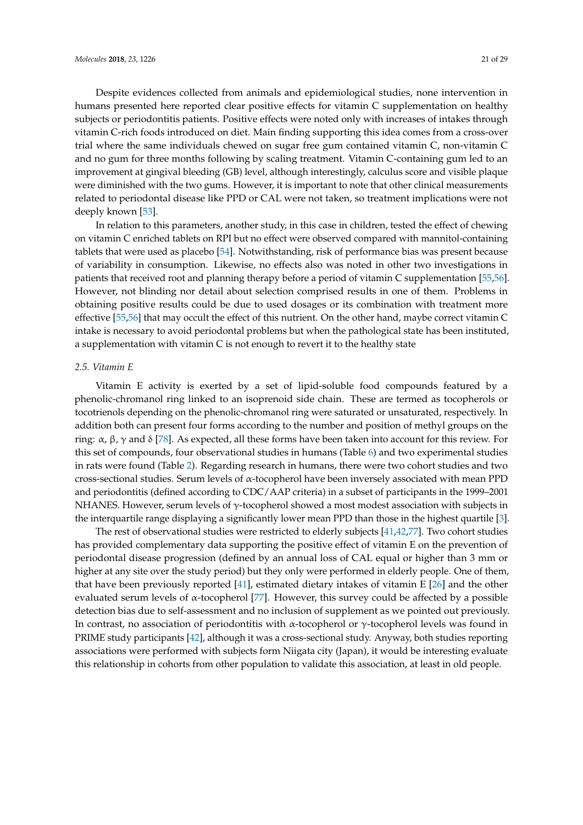Despite evidences collected from animals and epidemiological studies, none intervention in humans presented here reported clear positive effects for vitamin C supplementation on healthy subjects or periodontitis patients. Positive effects were noted only with increases of intakes through vitamin C-rich foods introduced on diet. Main finding supporting this idea comes from a cross-over trial where the same individuals chewed on sugar free gum contained vitamin C, non-vitamin C and no gum for three months following by scaling treatment. Vitamin C-containing gum led to an improvement at gingival bleeding (GB) level, although interestingly, calculus score and visible plaque were diminished with the two gums. However, it is important to note that other clinical measurements related to periodontal disease like PPD or CAL were not taken, so treatment implications were not deeply known [\[53\]](#page-27-28).

In relation to this parameters, another study, in this case in children, tested the effect of chewing on vitamin C enriched tablets on RPI but no effect were observed compared with mannitol-containing tablets that were used as placebo [\[54\]](#page-27-29). Notwithstanding, risk of performance bias was present because of variability in consumption. Likewise, no effects also was noted in other two investigations in patients that received root and planning therapy before a period of vitamin C supplementation [\[55](#page-27-15)[,56\]](#page-27-30). However, not blinding nor detail about selection comprised results in one of them. Problems in obtaining positive results could be due to used dosages or its combination with treatment more effective [\[55,](#page-27-15)[56\]](#page-27-30) that may occult the effect of this nutrient. On the other hand, maybe correct vitamin C intake is necessary to avoid periodontal problems but when the pathological state has been instituted, a supplementation with vitamin C is not enough to revert it to the healthy state

### *2.5. Vitamin E*

Vitamin E activity is exerted by a set of lipid-soluble food compounds featured by a phenolic-chromanol ring linked to an isoprenoid side chain. These are termed as tocopherols or tocotrienols depending on the phenolic-chromanol ring were saturated or unsaturated, respectively. In addition both can present four forms according to the number and position of methyl groups on the ring: α, β, γ and δ [\[78\]](#page-28-16). As expected, all these forms have been taken into account for this review. For this set of compounds, four observational studies in humans (Table [6\)](#page-21-0) and two experimental studies in rats were found (Table [2\)](#page-10-0). Regarding research in humans, there were two cohort studies and two cross-sectional studies. Serum levels of α-tocopherol have been inversely associated with mean PPD and periodontitis (defined according to CDC/AAP criteria) in a subset of participants in the 1999–2001 NHANES. However, serum levels of γ-tocopherol showed a most modest association with subjects in the interquartile range displaying a significantly lower mean PPD than those in the highest quartile [\[3\]](#page-25-2).

The rest of observational studies were restricted to elderly subjects [\[41](#page-26-29)[,42](#page-26-30)[,77\]](#page-28-17). Two cohort studies has provided complementary data supporting the positive effect of vitamin E on the prevention of periodontal disease progression (defined by an annual loss of CAL equal or higher than 3 mm or higher at any site over the study period) but they only were performed in elderly people. One of them, that have been previously reported [\[41\]](#page-26-29), estimated dietary intakes of vitamin E [\[26\]](#page-26-4) and the other evaluated serum levels of α-tocopherol [\[77\]](#page-28-17). However, this survey could be affected by a possible detection bias due to self-assessment and no inclusion of supplement as we pointed out previously. In contrast, no association of periodontitis with  $\alpha$ -tocopherol or  $\gamma$ -tocopherol levels was found in PRIME study participants [\[42\]](#page-26-30), although it was a cross-sectional study. Anyway, both studies reporting associations were performed with subjects form Niigata city (Japan), it would be interesting evaluate this relationship in cohorts from other population to validate this association, at least in old people.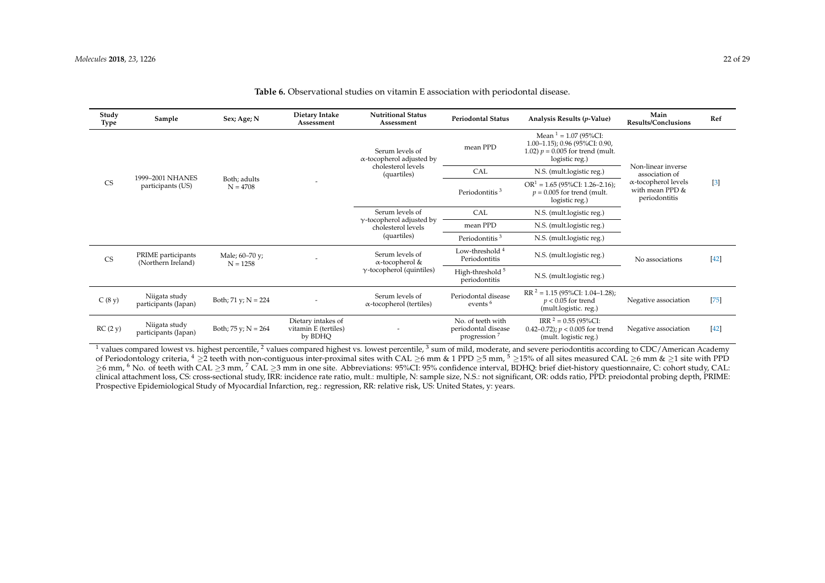| Study<br>Type          | Sample                                   | Sex; Age; N                  | Dietary Intake<br>Assessment                          | <b>Nutritional Status</b><br>Assessment                                                  | <b>Periodontal Status</b>                                            | Analysis Results (p-Value)                                                                                          | Main<br><b>Results/Conclusions</b>                                                                      | Ref    |
|------------------------|------------------------------------------|------------------------------|-------------------------------------------------------|------------------------------------------------------------------------------------------|----------------------------------------------------------------------|---------------------------------------------------------------------------------------------------------------------|---------------------------------------------------------------------------------------------------------|--------|
|                        |                                          |                              |                                                       | Serum levels of<br>$\alpha$ -tocopherol adjusted by<br>cholesterol levels<br>(quartiles) | mean PPD                                                             | Mean $1 = 1.07$ (95%CI:<br>$1.00-1.15$ ; 0.96 (95%CI: 0.90,<br>1.02) $p = 0.005$ for trend (mult.<br>logistic reg.) |                                                                                                         |        |
|                        | 1999-2001 NHANES                         |                              |                                                       |                                                                                          | CAL                                                                  | N.S. (mult.logistic reg.)                                                                                           | Non-linear inverse<br>association of<br>$\alpha$ -tocopherol levels<br>with mean PPD &<br>periodontitis |        |
| CS                     | participants (US)                        | Both; adults<br>$N = 4708$   |                                                       |                                                                                          | Periodontitis <sup>3</sup>                                           | $OR1 = 1.65 (95%CI: 1.26-2.16);$<br>$p = 0.005$ for trend (mult.<br>logistic reg.)                                  |                                                                                                         | $[3]$  |
|                        |                                          |                              |                                                       | Serum levels of<br>$\gamma$ -tocopherol adjusted by<br>cholesterol levels                | CAL                                                                  | N.S. (mult.logistic reg.)                                                                                           |                                                                                                         |        |
|                        |                                          |                              |                                                       |                                                                                          | mean PPD                                                             | N.S. (mult.logistic reg.)                                                                                           |                                                                                                         |        |
|                        |                                          |                              |                                                       | (quartiles)                                                                              | Periodontitis <sup>3</sup>                                           | N.S. (mult.logistic reg.)                                                                                           |                                                                                                         |        |
| $\mathbb{C}\mathbf{S}$ | PRIME participants<br>(Northern Ireland) | Male; 60–70 y;<br>$N = 1258$ |                                                       | Serum levels of<br>$\alpha$ -tocopherol &<br>$\gamma$ -tocopherol (quintiles)            | Low-threshold <sup>4</sup><br>Periodontitis                          | N.S. (mult.logistic reg.)                                                                                           | No associations                                                                                         | $[42]$ |
|                        |                                          |                              |                                                       |                                                                                          | High-threshold <sup>5</sup><br>periodontitis                         | N.S. (mult.logistic reg.)                                                                                           |                                                                                                         |        |
| C(8 y)                 | Niigata study<br>participants (Japan)    | Both; 71 y; $N = 224$        |                                                       | Serum levels of<br>$\alpha$ -tocopherol (tertiles)                                       | Periodontal disease<br>events <sup>6</sup>                           | $RR^2 = 1.15 (95\% CI: 1.04-1.28);$<br>$p < 0.05$ for trend<br>(mult.logistic. reg.)                                | Negative association                                                                                    | $[75]$ |
| RC(2 y)                | Niigata study<br>participants (Japan)    | Both; $75 y$ ; $N = 264$     | Dietary intakes of<br>vitamin E (tertiles)<br>by BDHQ |                                                                                          | No. of teeth with<br>periodontal disease<br>progression <sup>7</sup> | IRR $2 = 0.55$ (95%CI:<br>0.42-0.72); $p < 0.005$ for trend<br>(mult. logistic reg.)                                | Negative association                                                                                    | $[42]$ |

### **Table 6.** Observational studies on vitamin E association with periodontal disease.

<span id="page-21-0"></span><sup>1</sup> values compared lowest vs. highest percentile, <sup>2</sup> values compared highest vs. lowest percentile, <sup>3</sup> sum of mild, moderate, and severe periodontitis according to CDC/American Academy of Periodontology criteria,  $4 \geq 2$  teeth with non-contiguous inter-proximal sites with CAL  $\geq 6$  mm & 1 PPD  $\geq 5$  mm,  $5 \geq 15\%$  of all sites measured CAL  $\geq 6$  mm &  $\geq 1$  site with PPD ≥6 mm, <sup>6</sup> No. of teeth with CAL ≥3 mm, <sup>7</sup> CAL ≥3 mm in one site. Abbreviations: 95%CI: 95% confidence interval, BDHQ: brief diet-history questionnaire, C: cohort study, CAL: clinical attachment loss, CS: cross-sectional study, IRR: incidence rate ratio, mult.: multiple, N: sample size, N.S.: not significant, OR: odds ratio, PPD: preiodontal probing depth, PRIME: Prospective Epidemiological Study of Myocardial Infarction, reg.: regression, RR: relative risk, US: United States, v: years.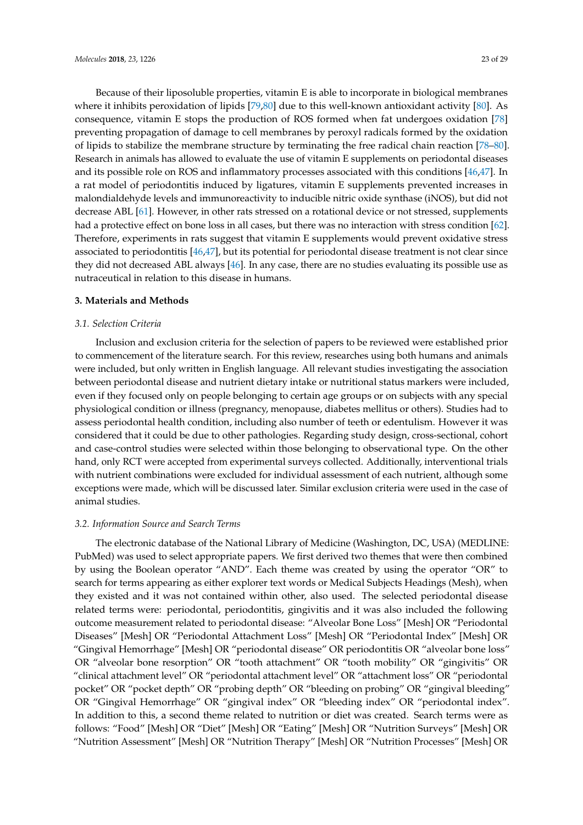Because of their liposoluble properties, vitamin E is able to incorporate in biological membranes where it inhibits peroxidation of lipids [\[79](#page-28-19)[,80\]](#page-28-20) due to this well-known antioxidant activity [\[80\]](#page-28-20). As consequence, vitamin E stops the production of ROS formed when fat undergoes oxidation [\[78\]](#page-28-16) preventing propagation of damage to cell membranes by peroxyl radicals formed by the oxidation of lipids to stabilize the membrane structure by terminating the free radical chain reaction [\[78–](#page-28-16)[80\]](#page-28-20). Research in animals has allowed to evaluate the use of vitamin E supplements on periodontal diseases and its possible role on ROS and inflammatory processes associated with this conditions [\[46](#page-27-0)[,47\]](#page-27-1). In a rat model of periodontitis induced by ligatures, vitamin E supplements prevented increases in malondialdehyde levels and immunoreactivity to inducible nitric oxide synthase (iNOS), but did not decrease ABL [\[61\]](#page-27-26). However, in other rats stressed on a rotational device or not stressed, supplements had a protective effect on bone loss in all cases, but there was no interaction with stress condition [\[62\]](#page-27-31). Therefore, experiments in rats suggest that vitamin E supplements would prevent oxidative stress associated to periodontitis [\[46,](#page-27-0)[47\]](#page-27-1), but its potential for periodontal disease treatment is not clear since they did not decreased ABL always [\[46\]](#page-27-0). In any case, there are no studies evaluating its possible use as nutraceutical in relation to this disease in humans.

### **3. Materials and Methods**

### *3.1. Selection Criteria*

Inclusion and exclusion criteria for the selection of papers to be reviewed were established prior to commencement of the literature search. For this review, researches using both humans and animals were included, but only written in English language. All relevant studies investigating the association between periodontal disease and nutrient dietary intake or nutritional status markers were included, even if they focused only on people belonging to certain age groups or on subjects with any special physiological condition or illness (pregnancy, menopause, diabetes mellitus or others). Studies had to assess periodontal health condition, including also number of teeth or edentulism. However it was considered that it could be due to other pathologies. Regarding study design, cross-sectional, cohort and case-control studies were selected within those belonging to observational type. On the other hand, only RCT were accepted from experimental surveys collected. Additionally, interventional trials with nutrient combinations were excluded for individual assessment of each nutrient, although some exceptions were made, which will be discussed later. Similar exclusion criteria were used in the case of animal studies.

### *3.2. Information Source and Search Terms*

The electronic database of the National Library of Medicine (Washington, DC, USA) (MEDLINE: PubMed) was used to select appropriate papers. We first derived two themes that were then combined by using the Boolean operator "AND". Each theme was created by using the operator "OR" to search for terms appearing as either explorer text words or Medical Subjects Headings (Mesh), when they existed and it was not contained within other, also used. The selected periodontal disease related terms were: periodontal, periodontitis, gingivitis and it was also included the following outcome measurement related to periodontal disease: "Alveolar Bone Loss" [Mesh] OR "Periodontal Diseases" [Mesh] OR "Periodontal Attachment Loss" [Mesh] OR "Periodontal Index" [Mesh] OR "Gingival Hemorrhage" [Mesh] OR "periodontal disease" OR periodontitis OR "alveolar bone loss" OR "alveolar bone resorption" OR "tooth attachment" OR "tooth mobility" OR "gingivitis" OR "clinical attachment level" OR "periodontal attachment level" OR "attachment loss" OR "periodontal pocket" OR "pocket depth" OR "probing depth" OR "bleeding on probing" OR "gingival bleeding" OR "Gingival Hemorrhage" OR "gingival index" OR "bleeding index" OR "periodontal index". In addition to this, a second theme related to nutrition or diet was created. Search terms were as follows: "Food" [Mesh] OR "Diet" [Mesh] OR "Eating" [Mesh] OR "Nutrition Surveys" [Mesh] OR "Nutrition Assessment" [Mesh] OR "Nutrition Therapy" [Mesh] OR "Nutrition Processes" [Mesh] OR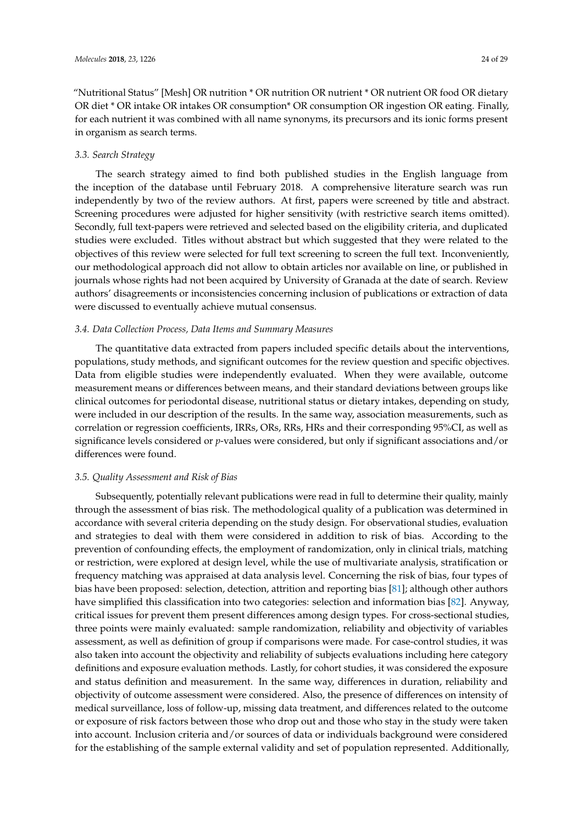"Nutritional Status" [Mesh] OR nutrition \* OR nutrition OR nutrient \* OR nutrient OR food OR dietary OR diet \* OR intake OR intakes OR consumption\* OR consumption OR ingestion OR eating. Finally, for each nutrient it was combined with all name synonyms, its precursors and its ionic forms present in organism as search terms.

### *3.3. Search Strategy*

The search strategy aimed to find both published studies in the English language from the inception of the database until February 2018. A comprehensive literature search was run independently by two of the review authors. At first, papers were screened by title and abstract. Screening procedures were adjusted for higher sensitivity (with restrictive search items omitted). Secondly, full text-papers were retrieved and selected based on the eligibility criteria, and duplicated studies were excluded. Titles without abstract but which suggested that they were related to the objectives of this review were selected for full text screening to screen the full text. Inconveniently, our methodological approach did not allow to obtain articles nor available on line, or published in journals whose rights had not been acquired by University of Granada at the date of search. Review authors' disagreements or inconsistencies concerning inclusion of publications or extraction of data were discussed to eventually achieve mutual consensus.

### *3.4. Data Collection Process, Data Items and Summary Measures*

The quantitative data extracted from papers included specific details about the interventions, populations, study methods, and significant outcomes for the review question and specific objectives. Data from eligible studies were independently evaluated. When they were available, outcome measurement means or differences between means, and their standard deviations between groups like clinical outcomes for periodontal disease, nutritional status or dietary intakes, depending on study, were included in our description of the results. In the same way, association measurements, such as correlation or regression coefficients, IRRs, ORs, RRs, HRs and their corresponding 95%CI, as well as significance levels considered or *p*-values were considered, but only if significant associations and/or differences were found.

### *3.5. Quality Assessment and Risk of Bias*

Subsequently, potentially relevant publications were read in full to determine their quality, mainly through the assessment of bias risk. The methodological quality of a publication was determined in accordance with several criteria depending on the study design. For observational studies, evaluation and strategies to deal with them were considered in addition to risk of bias. According to the prevention of confounding effects, the employment of randomization, only in clinical trials, matching or restriction, were explored at design level, while the use of multivariate analysis, stratification or frequency matching was appraised at data analysis level. Concerning the risk of bias, four types of bias have been proposed: selection, detection, attrition and reporting bias [\[81\]](#page-28-21); although other authors have simplified this classification into two categories: selection and information bias [\[82\]](#page-28-22). Anyway, critical issues for prevent them present differences among design types. For cross-sectional studies, three points were mainly evaluated: sample randomization, reliability and objectivity of variables assessment, as well as definition of group if comparisons were made. For case-control studies, it was also taken into account the objectivity and reliability of subjects evaluations including here category definitions and exposure evaluation methods. Lastly, for cohort studies, it was considered the exposure and status definition and measurement. In the same way, differences in duration, reliability and objectivity of outcome assessment were considered. Also, the presence of differences on intensity of medical surveillance, loss of follow-up, missing data treatment, and differences related to the outcome or exposure of risk factors between those who drop out and those who stay in the study were taken into account. Inclusion criteria and/or sources of data or individuals background were considered for the establishing of the sample external validity and set of population represented. Additionally,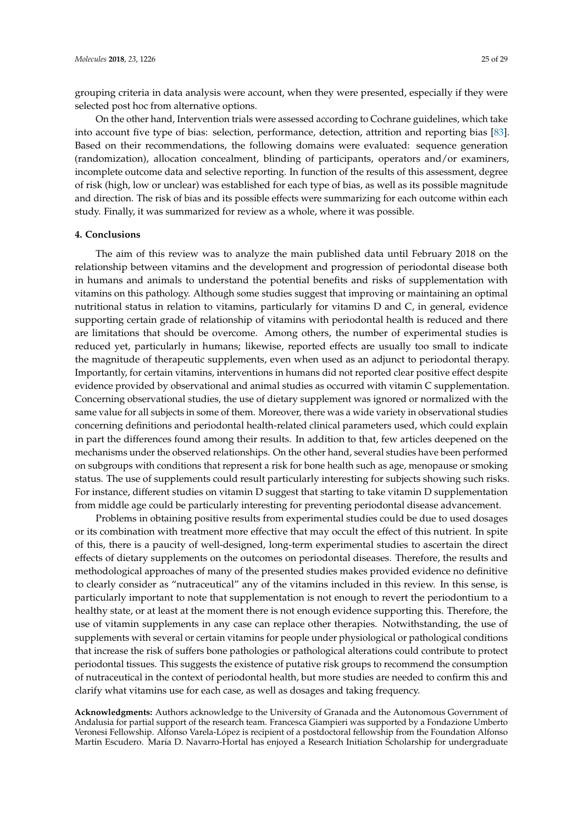grouping criteria in data analysis were account, when they were presented, especially if they were selected post hoc from alternative options.

On the other hand, Intervention trials were assessed according to Cochrane guidelines, which take into account five type of bias: selection, performance, detection, attrition and reporting bias [\[83\]](#page-28-23). Based on their recommendations, the following domains were evaluated: sequence generation (randomization), allocation concealment, blinding of participants, operators and/or examiners, incomplete outcome data and selective reporting. In function of the results of this assessment, degree of risk (high, low or unclear) was established for each type of bias, as well as its possible magnitude and direction. The risk of bias and its possible effects were summarizing for each outcome within each study. Finally, it was summarized for review as a whole, where it was possible.

### **4. Conclusions**

The aim of this review was to analyze the main published data until February 2018 on the relationship between vitamins and the development and progression of periodontal disease both in humans and animals to understand the potential benefits and risks of supplementation with vitamins on this pathology. Although some studies suggest that improving or maintaining an optimal nutritional status in relation to vitamins, particularly for vitamins D and C, in general, evidence supporting certain grade of relationship of vitamins with periodontal health is reduced and there are limitations that should be overcome. Among others, the number of experimental studies is reduced yet, particularly in humans; likewise, reported effects are usually too small to indicate the magnitude of therapeutic supplements, even when used as an adjunct to periodontal therapy. Importantly, for certain vitamins, interventions in humans did not reported clear positive effect despite evidence provided by observational and animal studies as occurred with vitamin C supplementation. Concerning observational studies, the use of dietary supplement was ignored or normalized with the same value for all subjects in some of them. Moreover, there was a wide variety in observational studies concerning definitions and periodontal health-related clinical parameters used, which could explain in part the differences found among their results. In addition to that, few articles deepened on the mechanisms under the observed relationships. On the other hand, several studies have been performed on subgroups with conditions that represent a risk for bone health such as age, menopause or smoking status. The use of supplements could result particularly interesting for subjects showing such risks. For instance, different studies on vitamin D suggest that starting to take vitamin D supplementation from middle age could be particularly interesting for preventing periodontal disease advancement.

Problems in obtaining positive results from experimental studies could be due to used dosages or its combination with treatment more effective that may occult the effect of this nutrient. In spite of this, there is a paucity of well-designed, long-term experimental studies to ascertain the direct effects of dietary supplements on the outcomes on periodontal diseases. Therefore, the results and methodological approaches of many of the presented studies makes provided evidence no definitive to clearly consider as "nutraceutical" any of the vitamins included in this review. In this sense, is particularly important to note that supplementation is not enough to revert the periodontium to a healthy state, or at least at the moment there is not enough evidence supporting this. Therefore, the use of vitamin supplements in any case can replace other therapies. Notwithstanding, the use of supplements with several or certain vitamins for people under physiological or pathological conditions that increase the risk of suffers bone pathologies or pathological alterations could contribute to protect periodontal tissues. This suggests the existence of putative risk groups to recommend the consumption of nutraceutical in the context of periodontal health, but more studies are needed to confirm this and clarify what vitamins use for each case, as well as dosages and taking frequency.

**Acknowledgments:** Authors acknowledge to the University of Granada and the Autonomous Government of Andalusia for partial support of the research team. Francesca Giampieri was supported by a Fondazione Umberto Veronesi Fellowship. Alfonso Varela-López is recipient of a postdoctoral fellowship from the Foundation Alfonso Martin Escudero. María D. Navarro-Hortal has enjoyed a Research Initiation Scholarship for undergraduate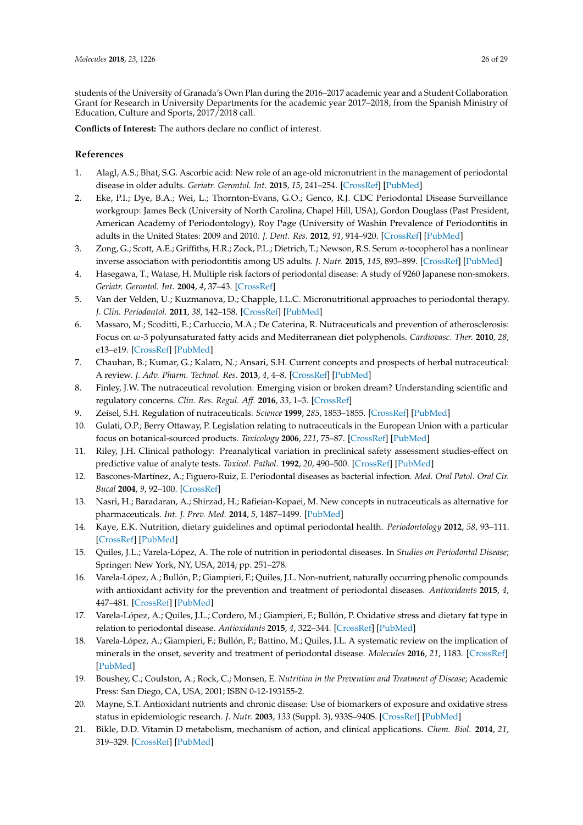<span id="page-25-21"></span>students of the University of Granada's Own Plan during the 2016–2017 academic year and a Student Collaboration Grant for Research in University Departments for the academic year 2017–2018, from the Spanish Ministry of Education, Culture and Sports, 2017/2018 call.

**Conflicts of Interest:** The authors declare no conflict of interest.

## **References**

- <span id="page-25-0"></span>1. Alagl, A.S.; Bhat, S.G. Ascorbic acid: New role of an age-old micronutrient in the management of periodontal disease in older adults. *Geriatr. Gerontol. Int.* **2015**, *15*, 241–254. [\[CrossRef\]](http://dx.doi.org/10.1111/ggi.12408) [\[PubMed\]](http://www.ncbi.nlm.nih.gov/pubmed/25407241)
- <span id="page-25-1"></span>2. Eke, P.I.; Dye, B.A.; Wei, L.; Thornton-Evans, G.O.; Genco, R.J. CDC Periodontal Disease Surveillance workgroup: James Beck (University of North Carolina, Chapel Hill, USA), Gordon Douglass (Past President, American Academy of Periodontology), Roy Page (University of Washin Prevalence of Periodontitis in adults in the United States: 2009 and 2010. *J. Dent. Res.* **2012**, *91*, 914–920. [\[CrossRef\]](http://dx.doi.org/10.1177/0022034512457373) [\[PubMed\]](http://www.ncbi.nlm.nih.gov/pubmed/22935673)
- <span id="page-25-2"></span>3. Zong, G.; Scott, A.E.; Griffiths, H.R.; Zock, P.L.; Dietrich, T.; Newson, R.S. Serum α-tocopherol has a nonlinear inverse association with periodontitis among US adults. *J. Nutr.* **2015**, *145*, 893–899. [\[CrossRef\]](http://dx.doi.org/10.3945/jn.114.203703) [\[PubMed\]](http://www.ncbi.nlm.nih.gov/pubmed/25934661)
- <span id="page-25-3"></span>4. Hasegawa, T.; Watase, H. Multiple risk factors of periodontal disease: A study of 9260 Japanese non-smokers. *Geriatr. Gerontol. Int.* **2004**, *4*, 37–43. [\[CrossRef\]](http://dx.doi.org/10.1111/j.1447-0594.2003.00116.x)
- <span id="page-25-4"></span>5. Van der Velden, U.; Kuzmanova, D.; Chapple, I.L.C. Micronutritional approaches to periodontal therapy. *J. Clin. Periodontol.* **2011**, *38*, 142–158. [\[CrossRef\]](http://dx.doi.org/10.1111/j.1600-051X.2010.01663.x) [\[PubMed\]](http://www.ncbi.nlm.nih.gov/pubmed/21323711)
- <span id="page-25-5"></span>6. Massaro, M.; Scoditti, E.; Carluccio, M.A.; De Caterina, R. Nutraceuticals and prevention of atherosclerosis: Focus on ω-3 polyunsaturated fatty acids and Mediterranean diet polyphenols. *Cardiovasc. Ther.* **2010**, *28*, e13–e19. [\[CrossRef\]](http://dx.doi.org/10.1111/j.1755-5922.2010.00211.x) [\[PubMed\]](http://www.ncbi.nlm.nih.gov/pubmed/20633019)
- <span id="page-25-6"></span>7. Chauhan, B.; Kumar, G.; Kalam, N.; Ansari, S.H. Current concepts and prospects of herbal nutraceutical: A review. *J. Adv. Pharm. Technol. Res.* **2013**, *4*, 4–8. [\[CrossRef\]](http://dx.doi.org/10.4103/2231-4040.107494) [\[PubMed\]](http://www.ncbi.nlm.nih.gov/pubmed/23662276)
- <span id="page-25-7"></span>8. Finley, J.W. The nutraceutical revolution: Emerging vision or broken dream? Understanding scientific and regulatory concerns. *Clin. Res. Regul. Aff.* **2016**, *33*, 1–3. [\[CrossRef\]](http://dx.doi.org/10.3109/10601333.2016.1117096)
- <span id="page-25-8"></span>9. Zeisel, S.H. Regulation of nutraceuticals. *Science* **1999**, *285*, 1853–1855. [\[CrossRef\]](http://dx.doi.org/10.1126/science.285.5435.1853) [\[PubMed\]](http://www.ncbi.nlm.nih.gov/pubmed/10515789)
- <span id="page-25-9"></span>10. Gulati, O.P.; Berry Ottaway, P. Legislation relating to nutraceuticals in the European Union with a particular focus on botanical-sourced products. *Toxicology* **2006**, *221*, 75–87. [\[CrossRef\]](http://dx.doi.org/10.1016/j.tox.2006.01.014) [\[PubMed\]](http://www.ncbi.nlm.nih.gov/pubmed/16487647)
- <span id="page-25-10"></span>11. Riley, J.H. Clinical pathology: Preanalytical variation in preclinical safety assessment studies-effect on predictive value of analyte tests. *Toxicol. Pathol.* **1992**, *20*, 490–500. [\[CrossRef\]](http://dx.doi.org/10.1177/0192623392020003206) [\[PubMed\]](http://www.ncbi.nlm.nih.gov/pubmed/1296278)
- <span id="page-25-11"></span>12. Bascones-Martínez, A.; Figuero-Ruiz, E. Periodontal diseases as bacterial infection. *Med. Oral Patol. Oral Cir. Bucal* **2004**, *9*, 92–100. [\[CrossRef\]](http://dx.doi.org/10.4321/S1699-65852005000300002)
- <span id="page-25-12"></span>13. Nasri, H.; Baradaran, A.; Shirzad, H.; Rafieian-Kopaei, M. New concepts in nutraceuticals as alternative for pharmaceuticals. *Int. J. Prev. Med.* **2014**, *5*, 1487–1499. [\[PubMed\]](http://www.ncbi.nlm.nih.gov/pubmed/25709784)
- <span id="page-25-13"></span>14. Kaye, E.K. Nutrition, dietary guidelines and optimal periodontal health. *Periodontology* **2012**, *58*, 93–111. [\[CrossRef\]](http://dx.doi.org/10.1111/j.1600-0757.2011.00418.x) [\[PubMed\]](http://www.ncbi.nlm.nih.gov/pubmed/22133369)
- <span id="page-25-14"></span>15. Quiles, J.L.; Varela-López, A. The role of nutrition in periodontal diseases. In *Studies on Periodontal Disease*; Springer: New York, NY, USA, 2014; pp. 251–278.
- <span id="page-25-15"></span>16. Varela-López, A.; Bullón, P.; Giampieri, F.; Quiles, J.L. Non-nutrient, naturally occurring phenolic compounds with antioxidant activity for the prevention and treatment of periodontal diseases. *Antioxidants* **2015**, *4*, 447–481. [\[CrossRef\]](http://dx.doi.org/10.3390/antiox4030447) [\[PubMed\]](http://www.ncbi.nlm.nih.gov/pubmed/26783837)
- <span id="page-25-16"></span>17. Varela-López, A.; Quiles, J.L.; Cordero, M.; Giampieri, F.; Bullón, P. Oxidative stress and dietary fat type in relation to periodontal disease. *Antioxidants* **2015**, *4*, 322–344. [\[CrossRef\]](http://dx.doi.org/10.3390/antiox4020322) [\[PubMed\]](http://www.ncbi.nlm.nih.gov/pubmed/26783708)
- <span id="page-25-17"></span>18. Varela-López, A.; Giampieri, F.; Bullón, P.; Battino, M.; Quiles, J.L. A systematic review on the implication of minerals in the onset, severity and treatment of periodontal disease. *Molecules* **2016**, *21*, 1183. [\[CrossRef\]](http://dx.doi.org/10.3390/molecules21091183) [\[PubMed\]](http://www.ncbi.nlm.nih.gov/pubmed/27617985)
- <span id="page-25-18"></span>19. Boushey, C.; Coulston, A.; Rock, C.; Monsen, E. *Nutrition in the Prevention and Treatment of Disease*; Academic Press: San Diego, CA, USA, 2001; ISBN 0-12-193155-2.
- <span id="page-25-19"></span>20. Mayne, S.T. Antioxidant nutrients and chronic disease: Use of biomarkers of exposure and oxidative stress status in epidemiologic research. *J. Nutr.* **2003**, *133* (Suppl. 3), 933S–940S. [\[CrossRef\]](http://dx.doi.org/10.1093/jn/133.3.933S) [\[PubMed\]](http://www.ncbi.nlm.nih.gov/pubmed/12612179)
- <span id="page-25-20"></span>21. Bikle, D.D. Vitamin D metabolism, mechanism of action, and clinical applications. *Chem. Biol.* **2014**, *21*, 319–329. [\[CrossRef\]](http://dx.doi.org/10.1016/j.chembiol.2013.12.016) [\[PubMed\]](http://www.ncbi.nlm.nih.gov/pubmed/24529992)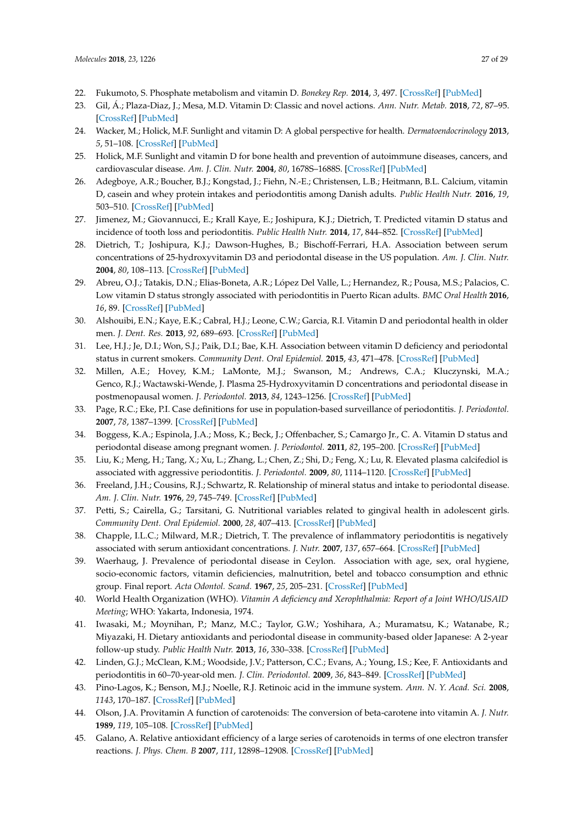- <span id="page-26-23"></span><span id="page-26-21"></span><span id="page-26-17"></span><span id="page-26-16"></span><span id="page-26-15"></span><span id="page-26-14"></span><span id="page-26-0"></span>22. Fukumoto, S. Phosphate metabolism and vitamin D. *Bonekey Rep.* **2014**, *3*, 497. [\[CrossRef\]](http://dx.doi.org/10.1038/bonekey.2013.231) [\[PubMed\]](http://www.ncbi.nlm.nih.gov/pubmed/24605214)
- <span id="page-26-1"></span>23. Gil, Á.; Plaza-Diaz, J.; Mesa, M.D. Vitamin D: Classic and novel actions. *Ann. Nutr. Metab.* **2018**, *72*, 87–95. [\[CrossRef\]](http://dx.doi.org/10.1159/000486536) [\[PubMed\]](http://www.ncbi.nlm.nih.gov/pubmed/29346788)
- <span id="page-26-22"></span><span id="page-26-2"></span>24. Wacker, M.; Holick, M.F. Sunlight and vitamin D: A global perspective for health. *Dermatoendocrinology* **2013**, *5*, 51–108. [\[CrossRef\]](http://dx.doi.org/10.4161/derm.24494) [\[PubMed\]](http://www.ncbi.nlm.nih.gov/pubmed/24494042)
- <span id="page-26-18"></span><span id="page-26-3"></span>25. Holick, M.F. Sunlight and vitamin D for bone health and prevention of autoimmune diseases, cancers, and cardiovascular disease. *Am. J. Clin. Nutr.* **2004**, *80*, 1678S–1688S. [\[CrossRef\]](http://dx.doi.org/10.1093/ajcn/80.6.1678S) [\[PubMed\]](http://www.ncbi.nlm.nih.gov/pubmed/15585788)
- <span id="page-26-20"></span><span id="page-26-4"></span>26. Adegboye, A.R.; Boucher, B.J.; Kongstad, J.; Fiehn, N.-E.; Christensen, L.B.; Heitmann, B.L. Calcium, vitamin D, casein and whey protein intakes and periodontitis among Danish adults. *Public Health Nutr.* **2016**, *19*, 503–510. [\[CrossRef\]](http://dx.doi.org/10.1017/S1368980015001202) [\[PubMed\]](http://www.ncbi.nlm.nih.gov/pubmed/25936381)
- <span id="page-26-19"></span><span id="page-26-5"></span>27. Jimenez, M.; Giovannucci, E.; Krall Kaye, E.; Joshipura, K.J.; Dietrich, T. Predicted vitamin D status and incidence of tooth loss and periodontitis. *Public Health Nutr.* **2014**, *17*, 844–852. [\[CrossRef\]](http://dx.doi.org/10.1017/S1368980013000177) [\[PubMed\]](http://www.ncbi.nlm.nih.gov/pubmed/23469936)
- <span id="page-26-34"></span><span id="page-26-6"></span>28. Dietrich, T.; Joshipura, K.J.; Dawson-Hughes, B.; Bischoff-Ferrari, H.A. Association between serum concentrations of 25-hydroxyvitamin D3 and periodontal disease in the US population. *Am. J. Clin. Nutr.* **2004**, *80*, 108–113. [\[CrossRef\]](http://dx.doi.org/10.1093/ajcn/80.1.108) [\[PubMed\]](http://www.ncbi.nlm.nih.gov/pubmed/15213036)
- <span id="page-26-37"></span><span id="page-26-35"></span><span id="page-26-7"></span>29. Abreu, O.J.; Tatakis, D.N.; Elias-Boneta, A.R.; López Del Valle, L.; Hernandez, R.; Pousa, M.S.; Palacios, C. Low vitamin D status strongly associated with periodontitis in Puerto Rican adults. *BMC Oral Health* **2016**, *16*, 89. [\[CrossRef\]](http://dx.doi.org/10.1186/s12903-016-0288-7) [\[PubMed\]](http://www.ncbi.nlm.nih.gov/pubmed/27590456)
- <span id="page-26-8"></span>30. Alshouibi, E.N.; Kaye, E.K.; Cabral, H.J.; Leone, C.W.; Garcia, R.I. Vitamin D and periodontal health in older men. *J. Dent. Res.* **2013**, *92*, 689–693. [\[CrossRef\]](http://dx.doi.org/10.1177/0022034513495239) [\[PubMed\]](http://www.ncbi.nlm.nih.gov/pubmed/23788610)
- <span id="page-26-9"></span>31. Lee, H.J.; Je, D.I.; Won, S.J.; Paik, D.I.; Bae, K.H. Association between vitamin D deficiency and periodontal status in current smokers. *Community Dent. Oral Epidemiol.* **2015**, *43*, 471–478. [\[CrossRef\]](http://dx.doi.org/10.1111/cdoe.12173) [\[PubMed\]](http://www.ncbi.nlm.nih.gov/pubmed/26031896)
- <span id="page-26-38"></span><span id="page-26-10"></span>32. Millen, A.E.; Hovey, K.M.; LaMonte, M.J.; Swanson, M.; Andrews, C.A.; Kluczynski, M.A.; Genco, R.J.; Wactawski-Wende, J. Plasma 25-Hydroxyvitamin D concentrations and periodontal disease in postmenopausal women. *J. Periodontol.* **2013**, *84*, 1243–1256. [\[CrossRef\]](http://dx.doi.org/10.1902/jop.2012.120445) [\[PubMed\]](http://www.ncbi.nlm.nih.gov/pubmed/23259413)
- <span id="page-26-36"></span><span id="page-26-11"></span>33. Page, R.C.; Eke, P.I. Case definitions for use in population-based surveillance of periodontitis. *J. Periodontol.* **2007**, *78*, 1387–1399. [\[CrossRef\]](http://dx.doi.org/10.1902/jop.2007.060264) [\[PubMed\]](http://www.ncbi.nlm.nih.gov/pubmed/17608611)
- <span id="page-26-12"></span>34. Boggess, K.A.; Espinola, J.A.; Moss, K.; Beck, J.; Offenbacher, S.; Camargo Jr., C. A. Vitamin D status and periodontal disease among pregnant women. *J. Periodontol.* **2011**, *82*, 195–200. [\[CrossRef\]](http://dx.doi.org/10.1902/jop.2010.100384) [\[PubMed\]](http://www.ncbi.nlm.nih.gov/pubmed/20809861)
- <span id="page-26-13"></span>35. Liu, K.; Meng, H.; Tang, X.; Xu, L.; Zhang, L.; Chen, Z.; Shi, D.; Feng, X.; Lu, R. Elevated plasma calcifediol is associated with aggressive periodontitis. *J. Periodontol.* **2009**, *80*, 1114–1120. [\[CrossRef\]](http://dx.doi.org/10.1902/jop.2009.080675) [\[PubMed\]](http://www.ncbi.nlm.nih.gov/pubmed/19563291)
- <span id="page-26-24"></span>36. Freeland, J.H.; Cousins, R.J.; Schwartz, R. Relationship of mineral status and intake to periodontal disease. *Am. J. Clin. Nutr.* **1976**, *29*, 745–749. [\[CrossRef\]](http://dx.doi.org/10.1093/ajcn/29.7.745) [\[PubMed\]](http://www.ncbi.nlm.nih.gov/pubmed/937229)
- <span id="page-26-25"></span>37. Petti, S.; Cairella, G.; Tarsitani, G. Nutritional variables related to gingival health in adolescent girls. *Community Dent. Oral Epidemiol.* **2000**, *28*, 407–413. [\[CrossRef\]](http://dx.doi.org/10.1034/j.1600-0528.2000.028006407.x) [\[PubMed\]](http://www.ncbi.nlm.nih.gov/pubmed/11106012)
- <span id="page-26-26"></span>38. Chapple, I.L.C.; Milward, M.R.; Dietrich, T. The prevalence of inflammatory periodontitis is negatively associated with serum antioxidant concentrations. *J. Nutr.* **2007**, *137*, 657–664. [\[CrossRef\]](http://dx.doi.org/10.1093/jn/137.3.657) [\[PubMed\]](http://www.ncbi.nlm.nih.gov/pubmed/17311956)
- <span id="page-26-27"></span>39. Waerhaug, J. Prevalence of periodontal disease in Ceylon. Association with age, sex, oral hygiene, socio-economic factors, vitamin deficiencies, malnutrition, betel and tobacco consumption and ethnic group. Final report. *Acta Odontol. Scand.* **1967**, *25*, 205–231. [\[CrossRef\]](http://dx.doi.org/10.3109/00016356709028749) [\[PubMed\]](http://www.ncbi.nlm.nih.gov/pubmed/5233925)
- <span id="page-26-28"></span>40. World Health Organization (WHO). *Vitamin A deficiency and Xerophthalmia: Report of a Joint WHO/USAID Meeting*; WHO: Yakarta, Indonesia, 1974.
- <span id="page-26-29"></span>41. Iwasaki, M.; Moynihan, P.; Manz, M.C.; Taylor, G.W.; Yoshihara, A.; Muramatsu, K.; Watanabe, R.; Miyazaki, H. Dietary antioxidants and periodontal disease in community-based older Japanese: A 2-year follow-up study. *Public Health Nutr.* **2013**, *16*, 330–338. [\[CrossRef\]](http://dx.doi.org/10.1017/S1368980012002637) [\[PubMed\]](http://www.ncbi.nlm.nih.gov/pubmed/22613693)
- <span id="page-26-30"></span>42. Linden, G.J.; McClean, K.M.; Woodside, J.V.; Patterson, C.C.; Evans, A.; Young, I.S.; Kee, F. Antioxidants and periodontitis in 60–70-year-old men. *J. Clin. Periodontol.* **2009**, *36*, 843–849. [\[CrossRef\]](http://dx.doi.org/10.1111/j.1600-051X.2009.01468.x) [\[PubMed\]](http://www.ncbi.nlm.nih.gov/pubmed/19703237)
- <span id="page-26-31"></span>43. Pino-Lagos, K.; Benson, M.J.; Noelle, R.J. Retinoic acid in the immune system. *Ann. N. Y. Acad. Sci.* **2008**, *1143*, 170–187. [\[CrossRef\]](http://dx.doi.org/10.1196/annals.1443.017) [\[PubMed\]](http://www.ncbi.nlm.nih.gov/pubmed/19076350)
- <span id="page-26-32"></span>44. Olson, J.A. Provitamin A function of carotenoids: The conversion of beta-carotene into vitamin A. *J. Nutr.* **1989**, *119*, 105–108. [\[CrossRef\]](http://dx.doi.org/10.1093/jn/119.1.105) [\[PubMed\]](http://www.ncbi.nlm.nih.gov/pubmed/2643691)
- <span id="page-26-33"></span>45. Galano, A. Relative antioxidant efficiency of a large series of carotenoids in terms of one electron transfer reactions. *J. Phys. Chem. B* **2007**, *111*, 12898–12908. [\[CrossRef\]](http://dx.doi.org/10.1021/jp074358u) [\[PubMed\]](http://www.ncbi.nlm.nih.gov/pubmed/17941663)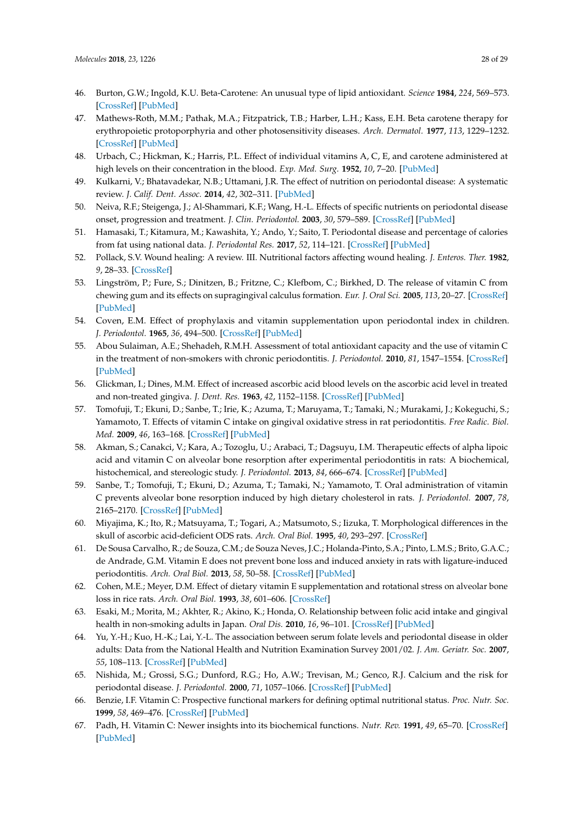- <span id="page-27-9"></span><span id="page-27-8"></span><span id="page-27-7"></span><span id="page-27-6"></span><span id="page-27-0"></span>46. Burton, G.W.; Ingold, K.U. Beta-Carotene: An unusual type of lipid antioxidant. *Science* **1984**, *224*, 569–573. [\[CrossRef\]](http://dx.doi.org/10.1126/science.6710156) [\[PubMed\]](http://www.ncbi.nlm.nih.gov/pubmed/6710156)
- <span id="page-27-1"></span>47. Mathews-Roth, M.M.; Pathak, M.A.; Fitzpatrick, T.B.; Harber, L.H.; Kass, E.H. Beta carotene therapy for erythropoietic protoporphyria and other photosensitivity diseases. *Arch. Dermatol.* **1977**, *113*, 1229–1232. [\[CrossRef\]](http://dx.doi.org/10.1001/archderm.1977.01640090077011) [\[PubMed\]](http://www.ncbi.nlm.nih.gov/pubmed/900968)
- <span id="page-27-11"></span><span id="page-27-10"></span><span id="page-27-2"></span>48. Urbach, C.; Hickman, K.; Harris, P.L. Effect of individual vitamins A, C, E, and carotene administered at high levels on their concentration in the blood. *Exp. Med. Surg.* **1952**, *10*, 7–20. [\[PubMed\]](http://www.ncbi.nlm.nih.gov/pubmed/14954887)
- <span id="page-27-3"></span>49. Kulkarni, V.; Bhatavadekar, N.B.; Uttamani, J.R. The effect of nutrition on periodontal disease: A systematic review. *J. Calif. Dent. Assoc.* **2014**, *42*, 302–311. [\[PubMed\]](http://www.ncbi.nlm.nih.gov/pubmed/25087348)
- <span id="page-27-4"></span>50. Neiva, R.F.; Steigenga, J.; Al-Shammari, K.F.; Wang, H.-L. Effects of specific nutrients on periodontal disease onset, progression and treatment. *J. Clin. Periodontol.* **2003**, *30*, 579–589. [\[CrossRef\]](http://dx.doi.org/10.1034/j.1600-051X.2003.00354.x) [\[PubMed\]](http://www.ncbi.nlm.nih.gov/pubmed/12834494)
- <span id="page-27-12"></span>51. Hamasaki, T.; Kitamura, M.; Kawashita, Y.; Ando, Y.; Saito, T. Periodontal disease and percentage of calories from fat using national data. *J. Periodontal Res.* **2017**, *52*, 114–121. [\[CrossRef\]](http://dx.doi.org/10.1111/jre.12375) [\[PubMed\]](http://www.ncbi.nlm.nih.gov/pubmed/27028150)
- <span id="page-27-5"></span>52. Pollack, S.V. Wound healing: A review. III. Nutritional factors affecting wound healing. *J. Enteros. Ther.* **1982**, *9*, 28–33. [\[CrossRef\]](http://dx.doi.org/10.1111/j.1524-4725.1979.tb00733.x)
- <span id="page-27-28"></span><span id="page-27-14"></span><span id="page-27-13"></span>53. Lingström, P.; Fure, S.; Dinitzen, B.; Fritzne, C.; Klefbom, C.; Birkhed, D. The release of vitamin C from chewing gum and its effects on supragingival calculus formation. *Eur. J. Oral Sci.* **2005**, *113*, 20–27. [\[CrossRef\]](http://dx.doi.org/10.1111/j.1600-0722.2004.00177.x) [\[PubMed\]](http://www.ncbi.nlm.nih.gov/pubmed/15693825)
- <span id="page-27-29"></span>54. Coven, E.M. Effect of prophylaxis and vitamin supplementation upon periodontal index in children. *J. Periodontol.* **1965**, *36*, 494–500. [\[CrossRef\]](http://dx.doi.org/10.1902/jop.1965.36.6.494) [\[PubMed\]](http://www.ncbi.nlm.nih.gov/pubmed/5320166)
- <span id="page-27-19"></span><span id="page-27-15"></span>55. Abou Sulaiman, A.E.; Shehadeh, R.M.H. Assessment of total antioxidant capacity and the use of vitamin C in the treatment of non-smokers with chronic periodontitis. *J. Periodontol.* **2010**, *81*, 1547–1554. [\[CrossRef\]](http://dx.doi.org/10.1902/jop.2010.100173) [\[PubMed\]](http://www.ncbi.nlm.nih.gov/pubmed/20569170)
- <span id="page-27-30"></span><span id="page-27-20"></span>56. Glickman, I.; Dines, M.M. Effect of increased ascorbic acid blood levels on the ascorbic acid level in treated and non-treated gingiva. *J. Dent. Res.* **1963**, *42*, 1152–1158. [\[CrossRef\]](http://dx.doi.org/10.1177/00220345630420050901) [\[PubMed\]](http://www.ncbi.nlm.nih.gov/pubmed/14061936)
- <span id="page-27-24"></span><span id="page-27-21"></span>57. Tomofuji, T.; Ekuni, D.; Sanbe, T.; Irie, K.; Azuma, T.; Maruyama, T.; Tamaki, N.; Murakami, J.; Kokeguchi, S.; Yamamoto, T. Effects of vitamin C intake on gingival oxidative stress in rat periodontitis. *Free Radic. Biol. Med.* **2009**, *46*, 163–168. [\[CrossRef\]](http://dx.doi.org/10.1016/j.freeradbiomed.2008.09.040) [\[PubMed\]](http://www.ncbi.nlm.nih.gov/pubmed/18983910)
- <span id="page-27-25"></span>58. Akman, S.; Canakci, V.; Kara, A.; Tozoglu, U.; Arabaci, T.; Dagsuyu, I.M. Therapeutic effects of alpha lipoic acid and vitamin C on alveolar bone resorption after experimental periodontitis in rats: A biochemical, histochemical, and stereologic study. *J. Periodontol.* **2013**, *84*, 666–674. [\[CrossRef\]](http://dx.doi.org/10.1902/jop.2012.120252) [\[PubMed\]](http://www.ncbi.nlm.nih.gov/pubmed/22702517)
- <span id="page-27-27"></span>59. Sanbe, T.; Tomofuji, T.; Ekuni, D.; Azuma, T.; Tamaki, N.; Yamamoto, T. Oral administration of vitamin C prevents alveolar bone resorption induced by high dietary cholesterol in rats. *J. Periodontol.* **2007**, *78*, 2165–2170. [\[CrossRef\]](http://dx.doi.org/10.1902/jop.2007.070181) [\[PubMed\]](http://www.ncbi.nlm.nih.gov/pubmed/17970684)
- 60. Miyajima, K.; Ito, R.; Matsuyama, T.; Togari, A.; Matsumoto, S.; Iizuka, T. Morphological differences in the skull of ascorbic acid-deficient ODS rats. *Arch. Oral Biol.* **1995**, *40*, 293–297. [\[CrossRef\]](http://dx.doi.org/10.1016/0003-9969(94)00174-A)
- <span id="page-27-26"></span>61. De Sousa Carvalho, R.; de Souza, C.M.; de Souza Neves, J.C.; Holanda-Pinto, S.A.; Pinto, L.M.S.; Brito, G.A.C.; de Andrade, G.M. Vitamin E does not prevent bone loss and induced anxiety in rats with ligature-induced periodontitis. *Arch. Oral Biol.* **2013**, *58*, 50–58. [\[CrossRef\]](http://dx.doi.org/10.1016/j.archoralbio.2012.04.020) [\[PubMed\]](http://www.ncbi.nlm.nih.gov/pubmed/22664314)
- <span id="page-27-31"></span>62. Cohen, M.E.; Meyer, D.M. Effect of dietary vitamin E supplementation and rotational stress on alveolar bone loss in rice rats. *Arch. Oral Biol.* **1993**, *38*, 601–606. [\[CrossRef\]](http://dx.doi.org/10.1016/0003-9969(93)90126-7)
- <span id="page-27-16"></span>63. Esaki, M.; Morita, M.; Akhter, R.; Akino, K.; Honda, O. Relationship between folic acid intake and gingival health in non-smoking adults in Japan. *Oral Dis.* **2010**, *16*, 96–101. [\[CrossRef\]](http://dx.doi.org/10.1111/j.1601-0825.2009.01619.x) [\[PubMed\]](http://www.ncbi.nlm.nih.gov/pubmed/19732352)
- <span id="page-27-17"></span>64. Yu, Y.-H.; Kuo, H.-K.; Lai, Y.-L. The association between serum folate levels and periodontal disease in older adults: Data from the National Health and Nutrition Examination Survey 2001/02. *J. Am. Geriatr. Soc.* **2007**, *55*, 108–113. [\[CrossRef\]](http://dx.doi.org/10.1111/j.1532-5415.2006.01020.x) [\[PubMed\]](http://www.ncbi.nlm.nih.gov/pubmed/17233693)
- <span id="page-27-18"></span>65. Nishida, M.; Grossi, S.G.; Dunford, R.G.; Ho, A.W.; Trevisan, M.; Genco, R.J. Calcium and the risk for periodontal disease. *J. Periodontol.* **2000**, *71*, 1057–1066. [\[CrossRef\]](http://dx.doi.org/10.1902/jop.2000.71.7.1057) [\[PubMed\]](http://www.ncbi.nlm.nih.gov/pubmed/10960010)
- <span id="page-27-22"></span>66. Benzie, I.F. Vitamin C: Prospective functional markers for defining optimal nutritional status. *Proc. Nutr. Soc.* **1999**, *58*, 469–476. [\[CrossRef\]](http://dx.doi.org/10.1017/S0029665199000610) [\[PubMed\]](http://www.ncbi.nlm.nih.gov/pubmed/10466192)
- <span id="page-27-23"></span>67. Padh, H. Vitamin C: Newer insights into its biochemical functions. *Nutr. Rev.* **1991**, *49*, 65–70. [\[CrossRef\]](http://dx.doi.org/10.1111/j.1753-4887.1991.tb07407.x) [\[PubMed\]](http://www.ncbi.nlm.nih.gov/pubmed/2057141)